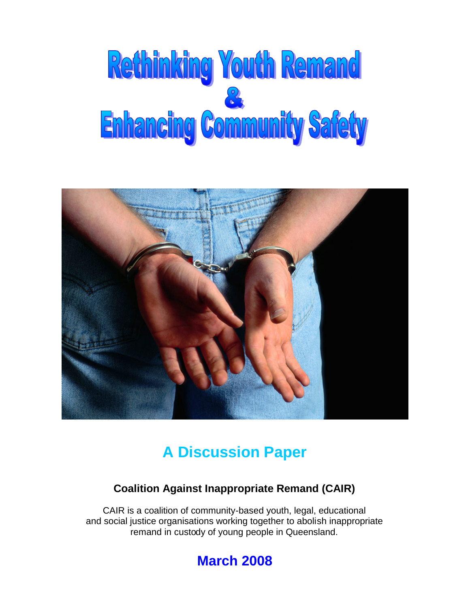# Rethinking Youth Remand **Enhancing Community Safety**



# **A Discussion Paper**

# **Coalition Against Inappropriate Remand (CAIR)**

CAIR is a coalition of community-based youth, legal, educational and social justice organisations working together to abolish inappropriate remand in custody of young people in Queensland.

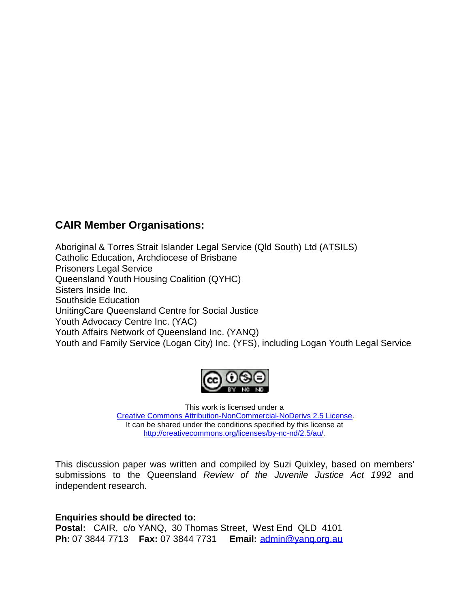# **CAIR Member Organisations:**

Aboriginal & Torres Strait Islander Legal Service (Qld South) Ltd (ATSILS) Catholic Education, Archdiocese of Brisbane Prisoners Legal Service Queensland Youth Housing Coalition (QYHC) Sisters Inside Inc. Southside Education UnitingCare Queensland Centre for Social Justice Youth Advocacy Centre Inc. (YAC) Youth Affairs Network of Queensland Inc. (YANQ) Youth and Family Service (Logan City) Inc. (YFS), including Logan Youth Legal Service



This work is licensed under a [Creative Commons Attribution-NonCommercial-NoDerivs 2.5 License.](http://creativecommons.org/licenses/by-nc-nd/2.5/au/) It can be shared under the conditions specified by this license at [http://creativecommons.org/licenses/by-nc-nd/2.5/au/.](http://creativecommons.org/licenses/by-nc-nd/2.5/au/)

This discussion paper was written and compiled by Suzi Quixley, based on members' submissions to the Queensland *Review of the Juvenile Justice Act 1992* and independent research.

**Enquiries should be directed to: Postal:** CAIR, c/o YANQ, 30 Thomas Street, West End QLD 4101 **Ph:** 07 3844 7713 **Fax:** 07 3844 7731 **Email:** [admin@yanq.org.au](mailto:admin@yanq.org.au)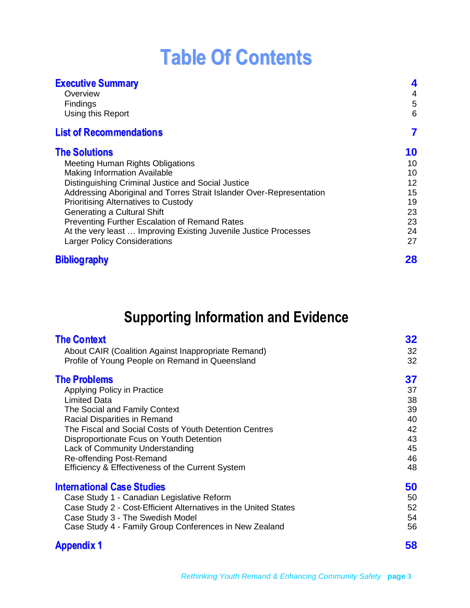# **Table Of Contents**

| <b>Executive Summary</b><br>Overview<br><b>Findings</b><br>Using this Report | 4<br>4<br>5<br>6 |
|------------------------------------------------------------------------------|------------------|
| <b>List of Recommendations</b>                                               | 7                |
| <b>The Solutions</b>                                                         | 10               |
| <b>Meeting Human Rights Obligations</b>                                      | 10               |
| <b>Making Information Available</b>                                          | 10               |
| Distinguishing Criminal Justice and Social Justice                           | 12               |
| Addressing Aboriginal and Torres Strait Islander Over-Representation         | 15               |
| <b>Prioritising Alternatives to Custody</b>                                  | 19               |
| Generating a Cultural Shift                                                  | 23               |
| Preventing Further Escalation of Remand Rates                                | 23               |
| At the very least  Improving Existing Juvenile Justice Processes             | 24               |
| <b>Larger Policy Considerations</b>                                          | 27               |
| <b>Bibliography</b>                                                          | 28               |

# **Supporting Information and Evidence**

| <b>The Context</b>                                              | 32 |
|-----------------------------------------------------------------|----|
| About CAIR (Coalition Against Inappropriate Remand)             | 32 |
| Profile of Young People on Remand in Queensland                 | 32 |
| <b>The Problems</b>                                             | 37 |
| Applying Policy in Practice                                     | 37 |
| <b>Limited Data</b>                                             | 38 |
| The Social and Family Context                                   | 39 |
| Racial Disparities in Remand                                    | 40 |
| The Fiscal and Social Costs of Youth Detention Centres          | 42 |
| Disproportionate Fcus on Youth Detention                        | 43 |
| Lack of Community Understanding                                 | 45 |
| Re-offending Post-Remand                                        | 46 |
| Efficiency & Effectiveness of the Current System                | 48 |
| <b>International Case Studies</b>                               | 50 |
| Case Study 1 - Canadian Legislative Reform                      | 50 |
| Case Study 2 - Cost-Efficient Alternatives in the United States | 52 |
| Case Study 3 - The Swedish Model                                | 54 |
| Case Study 4 - Family Group Conferences in New Zealand          | 56 |
| <b>Appendix 1</b>                                               | 58 |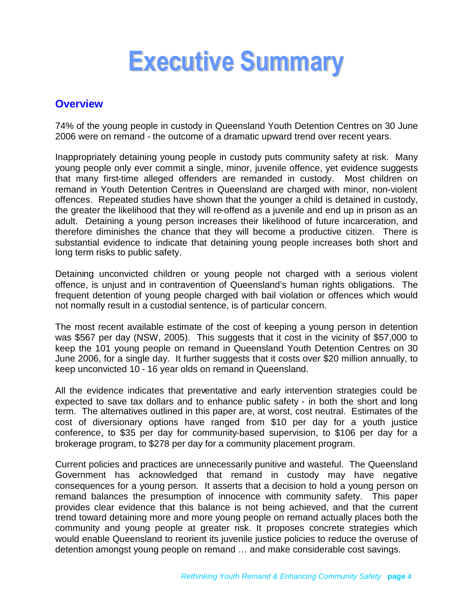# <span id="page-3-0"></span>**Executive Summary**

### <span id="page-3-1"></span>**Overview**

74% of the young people in custody in Queensland Youth Detention Centres on 30 June 2006 were on remand - the outcome of a dramatic upward trend over recent years.

Inappropriately detaining young people in custody puts community safety at risk. Many young people only ever commit a single, minor, juvenile offence, yet evidence suggests that many first-time alleged offenders are remanded in custody. Most children on remand in Youth Detention Centres in Queensland are charged with minor, non-violent offences. Repeated studies have shown that the younger a child is detained in custody, the greater the likelihood that they will re-offend as a juvenile and end up in prison as an adult. Detaining a young person increases their likelihood of future incarceration, and therefore diminishes the chance that they will become a productive citizen. There is substantial evidence to indicate that detaining young people increases both short and long term risks to public safety.

Detaining unconvicted children or young people not charged with a serious violent offence, is unjust and in contravention of Queensland's human rights obligations. The frequent detention of young people charged with bail violation or offences which would not normally result in a custodial sentence, is of particular concern.

The most recent available estimate of the cost of keeping a young person in detention was \$567 per day (NSW, 2005). This suggests that it cost in the vicinity of \$57,000 to keep the 101 young people on remand in Queensland Youth Detention Centres on 30 June 2006, for a single day. It further suggests that it costs over \$20 million annually, to keep unconvicted 10 - 16 year olds on remand in Queensland.

All the evidence indicates that preventative and early intervention strategies could be expected to save tax dollars and to enhance public safety - in both the short and long term. The alternatives outlined in this paper are, at worst, cost neutral. Estimates of the cost of diversionary options have ranged from \$10 per day for a youth justice conference, to \$35 per day for community-based supervision, to \$106 per day for a brokerage program, to \$278 per day for a community placement program.

Current policies and practices are unnecessarily punitive and wasteful. The Queensland Government has acknowledged that remand in custody may have negative consequences for a young person. It asserts that a decision to hold a young person on remand balances the presumption of innocence with community safety. This paper provides clear evidence that this balance is not being achieved, and that the current trend toward detaining more and more young people on remand actually places both the community and young people at greater risk. It proposes concrete strategies which would enable Queensland to reorient its juvenile justice policies to reduce the overuse of detention amongst young people on remand … and make considerable cost savings.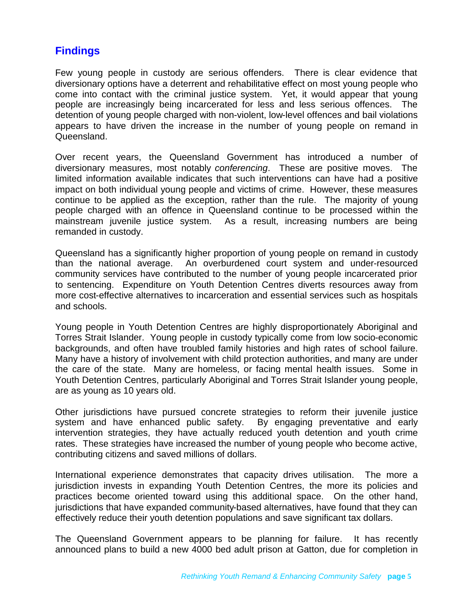### <span id="page-4-0"></span>**Findings**

Few young people in custody are serious offenders. There is clear evidence that diversionary options have a deterrent and rehabilitative effect on most young people who come into contact with the criminal justice system. Yet, it would appear that young people are increasingly being incarcerated for less and less serious offences. The detention of young people charged with non-violent, low-level offences and bail violations appears to have driven the increase in the number of young people on remand in Queensland.

Over recent years, the Queensland Government has introduced a number of diversionary measures, most notably *conferencing*. These are positive moves. The limited information available indicates that such interventions can have had a positive impact on both individual young people and victims of crime. However, these measures continue to be applied as the exception, rather than the rule. The majority of young people charged with an offence in Queensland continue to be processed within the mainstream juvenile justice system. As a result, increasing numbers are being remanded in custody.

Queensland has a significantly higher proportion of young people on remand in custody than the national average. An overburdened court system and under-resourced community services have contributed to the number of young people incarcerated prior to sentencing. Expenditure on Youth Detention Centres diverts resources away from more cost-effective alternatives to incarceration and essential services such as hospitals and schools.

Young people in Youth Detention Centres are highly disproportionately Aboriginal and Torres Strait Islander. Young people in custody typically come from low socio-economic backgrounds, and often have troubled family histories and high rates of school failure. Many have a history of involvement with child protection authorities, and many are under the care of the state. Many are homeless, or facing mental health issues. Some in Youth Detention Centres, particularly Aboriginal and Torres Strait Islander young people, are as young as 10 years old.

Other jurisdictions have pursued concrete strategies to reform their juvenile justice system and have enhanced public safety. By engaging preventative and early intervention strategies, they have actually reduced youth detention and youth crime rates. These strategies have increased the number of young people who become active, contributing citizens and saved millions of dollars.

International experience demonstrates that capacity drives utilisation. The more a jurisdiction invests in expanding Youth Detention Centres, the more its policies and practices become oriented toward using this additional space. On the other hand, jurisdictions that have expanded community-based alternatives, have found that they can effectively reduce their youth detention populations and save significant tax dollars.

The Queensland Government appears to be planning for failure. It has recently announced plans to build a new 4000 bed adult prison at Gatton, due for completion in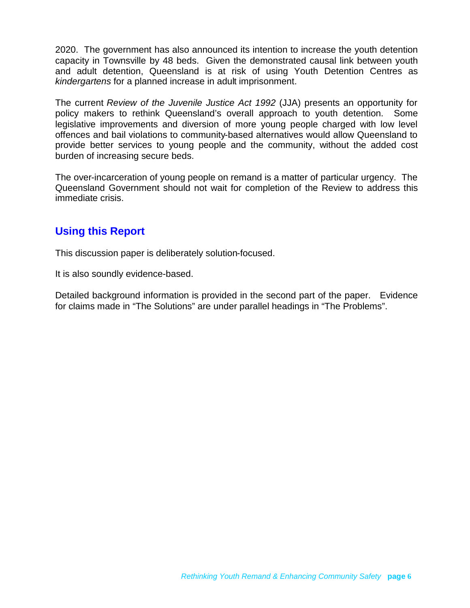2020. The government has also announced its intention to increase the youth detention capacity in Townsville by 48 beds. Given the demonstrated causal link between youth and adult detention, Queensland is at risk of using Youth Detention Centres as *kindergartens* for a planned increase in adult imprisonment.

The current *Review of the Juvenile Justice Act 1992* (JJA) presents an opportunity for policy makers to rethink Queensland's overall approach to youth detention. Some legislative improvements and diversion of more young people charged with low level offences and bail violations to community-based alternatives would allow Queensland to provide better services to young people and the community, without the added cost burden of increasing secure beds.

The over-incarceration of young people on remand is a matter of particular urgency. The Queensland Government should not wait for completion of the Review to address this immediate crisis.

# <span id="page-5-0"></span>**Using this Report**

This discussion paper is deliberately solution-focused.

It is also soundly evidence-based.

Detailed background information is provided in the second part of the paper. Evidence for claims made in "The Solutions" are under parallel headings in "The Problems".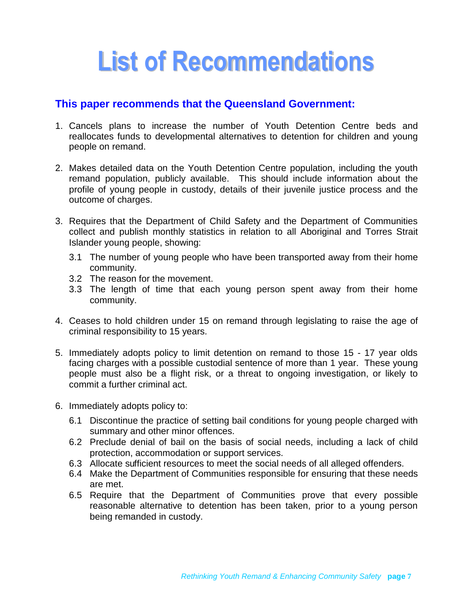# <span id="page-6-0"></span>**List of Recommendations**

### **This paper recommends that the Queensland Government:**

- 1. Cancels plans to increase the number of Youth Detention Centre beds and reallocates funds to developmental alternatives to detention for children and young people on remand.
- 2. Makes detailed data on the Youth Detention Centre population, including the youth remand population, publicly available. This should include information about the profile of young people in custody, details of their juvenile justice process and the outcome of charges.
- 3. Requires that the Department of Child Safety and the Department of Communities collect and publish monthly statistics in relation to all Aboriginal and Torres Strait Islander young people, showing:
	- 3.1 The number of young people who have been transported away from their home community.
	- 3.2 The reason for the movement.
	- 3.3 The length of time that each young person spent away from their home community.
- 4. Ceases to hold children under 15 on remand through legislating to raise the age of criminal responsibility to 15 years.
- 5. Immediately adopts policy to limit detention on remand to those 15 17 year olds facing charges with a possible custodial sentence of more than 1 year. These young people must also be a flight risk, or a threat to ongoing investigation, or likely to commit a further criminal act.
- 6. Immediately adopts policy to:
	- 6.1 Discontinue the practice of setting bail conditions for young people charged with summary and other minor offences.
	- 6.2 Preclude denial of bail on the basis of social needs, including a lack of child protection, accommodation or support services.
	- 6.3 Allocate sufficient resources to meet the social needs of all alleged offenders.
	- 6.4 Make the Department of Communities responsible for ensuring that these needs are met.
	- 6.5 Require that the Department of Communities prove that every possible reasonable alternative to detention has been taken, prior to a young person being remanded in custody.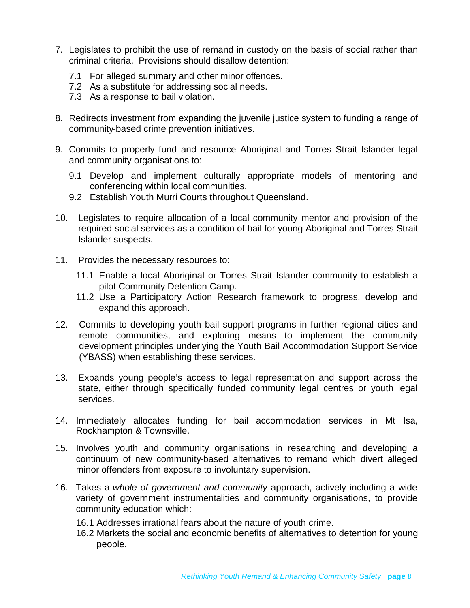- 7. Legislates to prohibit the use of remand in custody on the basis of social rather than criminal criteria. Provisions should disallow detention:
	- 7.1 For alleged summary and other minor offences.
	- 7.2 As a substitute for addressing social needs.
	- 7.3 As a response to bail violation.
- 8. Redirects investment from expanding the juvenile justice system to funding a range of community-based crime prevention initiatives.
- 9. Commits to properly fund and resource Aboriginal and Torres Strait Islander legal and community organisations to:
	- 9.1 Develop and implement culturally appropriate models of mentoring and conferencing within local communities.
	- 9.2 Establish Youth Murri Courts throughout Queensland.
- 10. Legislates to require allocation of a local community mentor and provision of the required social services as a condition of bail for young Aboriginal and Torres Strait Islander suspects.
- 11. Provides the necessary resources to:
	- 11.1 Enable a local Aboriginal or Torres Strait Islander community to establish a pilot Community Detention Camp.
	- 11.2 Use a Participatory Action Research framework to progress, develop and expand this approach.
- 12. Commits to developing youth bail support programs in further regional cities and remote communities, and exploring means to implement the community development principles underlying the Youth Bail Accommodation Support Service (YBASS) when establishing these services.
- 13. Expands young people's access to legal representation and support across the state, either through specifically funded community legal centres or youth legal services.
- 14. Immediately allocates funding for bail accommodation services in Mt Isa, Rockhampton & Townsville.
- 15. Involves youth and community organisations in researching and developing a continuum of new community-based alternatives to remand which divert alleged minor offenders from exposure to involuntary supervision.
- 16. Takes a *whole of government and community* approach, actively including a wide variety of government instrumentalities and community organisations, to provide community education which:
	- 16.1 Addresses irrational fears about the nature of youth crime.
	- 16.2 Markets the social and economic benefits of alternatives to detention for young people.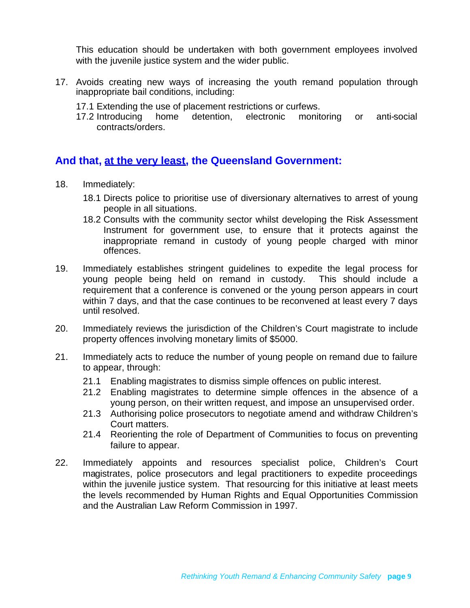This education should be undertaken with both government employees involved with the juvenile justice system and the wider public.

- 17. Avoids creating new ways of increasing the youth remand population through inappropriate bail conditions, including:
	- 17.1 Extending the use of placement restrictions or curfews.
	- 17.2 Introducing home detention, electronic monitoring or anti-social contracts/orders.

### **And that, at the very least, the Queensland Government:**

- 18. Immediately:
	- 18.1 Directs police to prioritise use of diversionary alternatives to arrest of young people in all situations.
	- 18.2 Consults with the community sector whilst developing the Risk Assessment Instrument for government use, to ensure that it protects against the inappropriate remand in custody of young people charged with minor offences.
- 19. Immediately establishes stringent guidelines to expedite the legal process for young people being held on remand in custody. This should include a requirement that a conference is convened or the young person appears in court within 7 days, and that the case continues to be reconvened at least every 7 days until resolved.
- 20. Immediately reviews the jurisdiction of the Children's Court magistrate to include property offences involving monetary limits of \$5000.
- 21. Immediately acts to reduce the number of young people on remand due to failure to appear, through:
	- 21.1 Enabling magistrates to dismiss simple offences on public interest.
	- 21.2 Enabling magistrates to determine simple offences in the absence of a young person, on their written request, and impose an unsupervised order.
	- 21.3 Authorising police prosecutors to negotiate amend and withdraw Children's Court matters.
	- 21.4 Reorienting the role of Department of Communities to focus on preventing failure to appear.
- 22. Immediately appoints and resources specialist police, Children's Court magistrates, police prosecutors and legal practitioners to expedite proceedings within the juvenile justice system. That resourcing for this initiative at least meets the levels recommended by Human Rights and Equal Opportunities Commission and the Australian Law Reform Commission in 1997.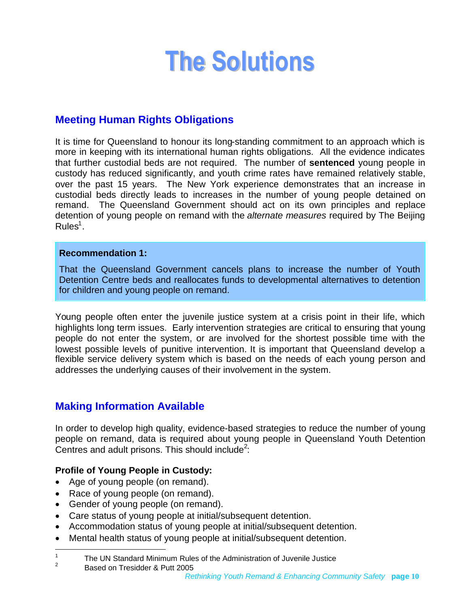# <span id="page-9-0"></span>**The Solutions**

# <span id="page-9-1"></span>**Meeting Human Rights Obligations**

It is time for Queensland to honour its long-standing commitment to an approach which is more in keeping with its international human rights obligations. All the evidence indicates that further custodial beds are not required. The number of **sentenced** young people in custody has reduced significantly, and youth crime rates have remained relatively stable, over the past 15 years. The New York experience demonstrates that an increase in custodial beds directly leads to increases in the number of young people detained on remand. The Queensland Government should act on its own principles and replace detention of young people on remand with the *alternate measures* required by The Beijing  $Rules<sup>1</sup>$  $Rules<sup>1</sup>$  $Rules<sup>1</sup>$ .

#### **Recommendation 1:**

That the Queensland Government cancels plans to increase the number of Youth Detention Centre beds and reallocates funds to developmental alternatives to detention for children and young people on remand.

Young people often enter the juvenile justice system at a crisis point in their life, which highlights long term issues. Early intervention strategies are critical to ensuring that young people do not enter the system, or are involved for the shortest possible time with the lowest possible levels of punitive intervention. It is important that Queensland develop a flexible service delivery system which is based on the needs of each young person and addresses the underlying causes of their involvement in the system.

# <span id="page-9-2"></span>**Making Information Available**

In order to develop high quality, evidence-based strategies to reduce the number of young people on remand, data is required about young people in Queensland Youth Detention Centres and adult prisons. This should include<sup>[2](#page-9-4)</sup>:

### **Profile of Young People in Custody:**

- Age of young people (on remand).
- Race of young people (on remand).
- Gender of young people (on remand).
- Care status of young people at initial/subsequent detention.
- Accommodation status of young people at initial/subsequent detention.
- Mental health status of young people at initial/subsequent detention.

Based on Tresidder & Putt 2005

<span id="page-9-4"></span><span id="page-9-3"></span><sup>1</sup> The UN Standard Minimum Rules of the Administration of Juvenile Justice  $\mathfrak{p}$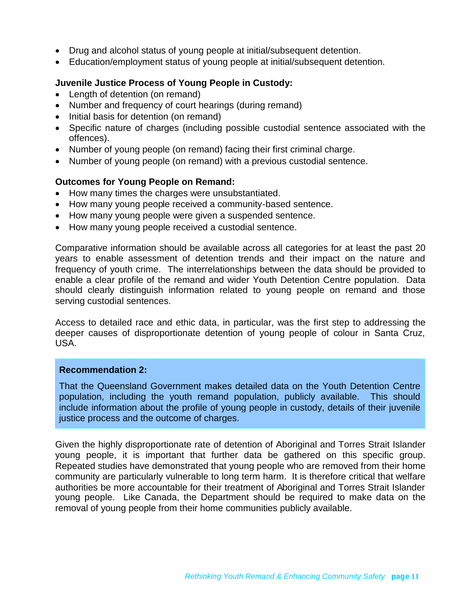- Drug and alcohol status of young people at initial/subsequent detention.
- Education/employment status of young people at initial/subsequent detention.

#### **Juvenile Justice Process of Young People in Custody:**

- Length of detention (on remand)
- Number and frequency of court hearings (during remand)
- Initial basis for detention (on remand)
- Specific nature of charges (including possible custodial sentence associated with the offences).
- Number of young people (on remand) facing their first criminal charge.
- Number of young people (on remand) with a previous custodial sentence.

#### **Outcomes for Young People on Remand:**

- How many times the charges were unsubstantiated.
- How many young people received a community-based sentence.
- How many young people were given a suspended sentence.
- How many young people received a custodial sentence.

Comparative information should be available across all categories for at least the past 20 years to enable assessment of detention trends and their impact on the nature and frequency of youth crime. The interrelationships between the data should be provided to enable a clear profile of the remand and wider Youth Detention Centre population. Data should clearly distinguish information related to young people on remand and those serving custodial sentences.

Access to detailed race and ethic data, in particular, was the first step to addressing the deeper causes of disproportionate detention of young people of colour in Santa Cruz, USA.

#### **Recommendation 2:**

That the Queensland Government makes detailed data on the Youth Detention Centre population, including the youth remand population, publicly available. This should include information about the profile of young people in custody, details of their juvenile justice process and the outcome of charges.

Given the highly disproportionate rate of detention of Aboriginal and Torres Strait Islander young people, it is important that further data be gathered on this specific group. Repeated studies have demonstrated that young people who are removed from their home community are particularly vulnerable to long term harm. It is therefore critical that welfare authorities be more accountable for their treatment of Aboriginal and Torres Strait Islander young people. Like Canada, the Department should be required to make data on the removal of young people from their home communities publicly available.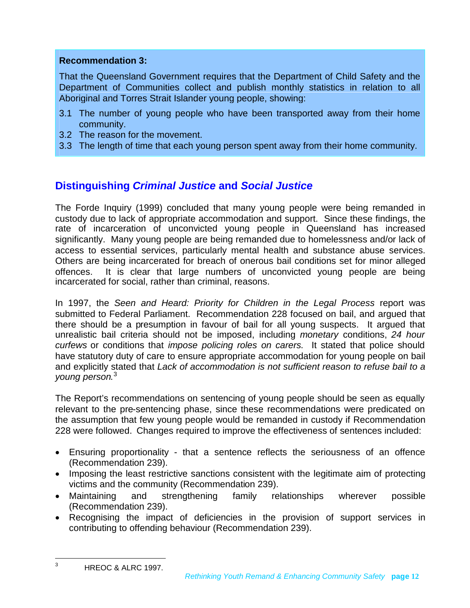#### **Recommendation 3:**

That the Queensland Government requires that the Department of Child Safety and the Department of Communities collect and publish monthly statistics in relation to all Aboriginal and Torres Strait Islander young people, showing:

- 3.1 The number of young people who have been transported away from their home community.
- 3.2 The reason for the movement.
- 3.3 The length of time that each young person spent away from their home community.

# <span id="page-11-0"></span>**Distinguishing** *Criminal Justice* **and** *Social Justice*

The Forde Inquiry (1999) concluded that many young people were being remanded in custody due to lack of appropriate accommodation and support. Since these findings, the rate of incarceration of unconvicted young people in Queensland has increased significantly. Many young people are being remanded due to homelessness and/or lack of access to essential services, particularly mental health and substance abuse services. Others are being incarcerated for breach of onerous bail conditions set for minor alleged offences. It is clear that large numbers of unconvicted young people are being incarcerated for social, rather than criminal, reasons.

In 1997, the *Seen and Heard: Priority for Children in the Legal Process* report was submitted to Federal Parliament. Recommendation 228 focused on bail, and argued that there should be a presumption in favour of bail for all young suspects. It argued that unrealistic bail criteria should not be imposed, including *monetary* conditions, *24 hour curfews* or conditions that *impose policing roles on carers*. It stated that police should have statutory duty of care to ensure appropriate accommodation for young people on bail and explicitly stated that *Lack of accommodation is not sufficient reason to refuse bail to a young person*. [3](#page-11-1)

The Report's recommendations on sentencing of young people should be seen as equally relevant to the pre-sentencing phase, since these recommendations were predicated on the assumption that few young people would be remanded in custody if Recommendation 228 were followed. Changes required to improve the effectiveness of sentences included:

- Ensuring proportionality that a sentence reflects the seriousness of an offence (Recommendation 239).
- Imposing the least restrictive sanctions consistent with the legitimate aim of protecting victims and the community (Recommendation 239).
- Maintaining and strengthening family relationships wherever possible (Recommendation 239).
- Recognising the impact of deficiencies in the provision of support services in contributing to offending behaviour (Recommendation 239).

<span id="page-11-1"></span><sup>&</sup>lt;sup>3</sup> HREOC & ALRC 1997.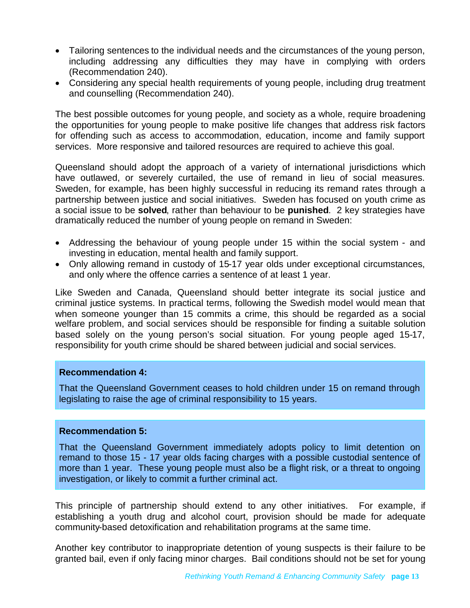- Tailoring sentences to the individual needs and the circumstances of the young person, including addressing any difficulties they may have in complying with orders (Recommendation 240).
- Considering any special health requirements of young people, including drug treatment and counselling (Recommendation 240).

The best possible outcomes for young people, and society as a whole, require broadening the opportunities for young people to make positive life changes that address risk factors for offending such as access to accommodation, education, income and family support services. More responsive and tailored resources are required to achieve this goal.

Queensland should adopt the approach of a variety of international jurisdictions which have outlawed, or severely curtailed, the use of remand in lieu of social measures. Sweden, for example, has been highly successful in reducing its remand rates through a partnership between justice and social initiatives. Sweden has focused on youth crime as a social issue to be **solved**, rather than behaviour to be **punished**. 2 key strategies have dramatically reduced the number of young people on remand in Sweden:

- Addressing the behaviour of young people under 15 within the social system and investing in education, mental health and family support.
- Only allowing remand in custody of 15-17 year olds under exceptional circumstances, and only where the offence carries a sentence of at least 1 year.

Like Sweden and Canada, Queensland should better integrate its social justice and criminal justice systems. In practical terms, following the Swedish model would mean that when someone younger than 15 commits a crime, this should be regarded as a social welfare problem, and social services should be responsible for finding a suitable solution based solely on the young person's social situation. For young people aged 15-17, responsibility for youth crime should be shared between judicial and social services.

#### **Recommendation 4:**

That the Queensland Government ceases to hold children under 15 on remand through legislating to raise the age of criminal responsibility to 15 years.

#### **Recommendation 5:**

That the Queensland Government immediately adopts policy to limit detention on remand to those 15 - 17 year olds facing charges with a possible custodial sentence of more than 1 year. These young people must also be a flight risk, or a threat to ongoing investigation, or likely to commit a further criminal act.

This principle of partnership should extend to any other initiatives. For example, if establishing a youth drug and alcohol court, provision should be made for adequate community-based detoxification and rehabilitation programs at the same time.

Another key contributor to inappropriate detention of young suspects is their failure to be granted bail, even if only facing minor charges. Bail conditions should not be set for young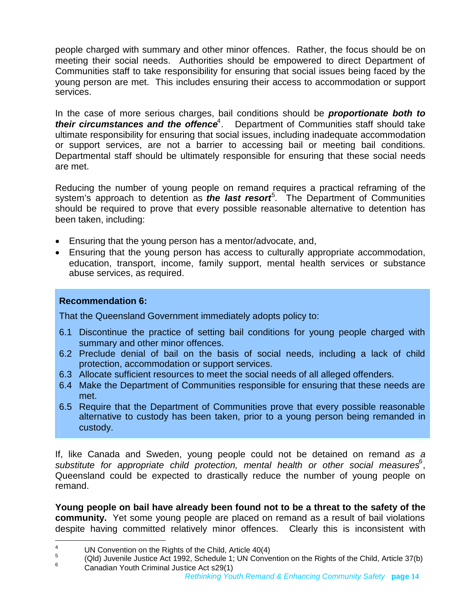people charged with summary and other minor offences. Rather, the focus should be on meeting their social needs. Authorities should be empowered to direct Department of Communities staff to take responsibility for ensuring that social issues being faced by the young person are met. This includes ensuring their access to accommodation or support services.

In the case of more serious charges, bail conditions should be *proportionate both to* **their circumstances and the offence**<sup>[4](#page-13-0)</sup>. Department of Communities staff should take ultimate responsibility for ensuring that social issues, including inadequate accommodation or support services, are not a barrier to accessing bail or meeting bail conditions. Departmental staff should be ultimately responsible for ensuring that these social needs are met.

Reducing the number of young people on remand requires a practical reframing of the system's approach to detention as *the last resort*<sup>[5](#page-13-1)</sup>. The Department of Communities should be required to prove that every possible reasonable alternative to detention has been taken, including:

- Ensuring that the young person has a mentor/advocate, and,
- Ensuring that the young person has access to culturally appropriate accommodation, education, transport, income, family support, mental health services or substance abuse services, as required.

### **Recommendation 6:**

That the Queensland Government immediately adopts policy to:

- 6.1 Discontinue the practice of setting bail conditions for young people charged with summary and other minor offences.
- 6.2 Preclude denial of bail on the basis of social needs, including a lack of child protection, accommodation or support services.
- 6.3 Allocate sufficient resources to meet the social needs of all alleged offenders.
- 6.4 Make the Department of Communities responsible for ensuring that these needs are met.
- 6.5 Require that the Department of Communities prove that every possible reasonable alternative to custody has been taken, prior to a young person being remanded in custody.

If, like Canada and Sweden, young people could not be detained on remand *as a* substitute for appropriate child protection, mental health or other social measures<sup>[6](#page-13-2)</sup>, Queensland could be expected to drastically reduce the number of young people on remand.

**Young people on bail have already been found not to be a threat to the safety of the community.** Yet some young people are placed on remand as a result of bail violations despite having committed relatively minor offences. Clearly this is inconsistent with

<span id="page-13-0"></span><sup>4</sup> UN Convention on the Rights of the Child, Article 40(4)

<span id="page-13-2"></span><span id="page-13-1"></span><sup>5</sup> (Qld) Juvenile Justice Act 1992, Schedule 1; UN Convention on the Rights of the Child, Article 37(b)  $6$  Canadian Youth Criminal Justice Act s29(1)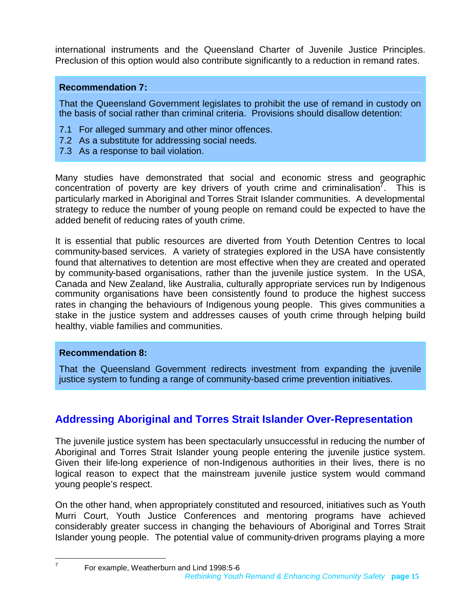international instruments and the Queensland Charter of Juvenile Justice Principles. Preclusion of this option would also contribute significantly to a reduction in remand rates.

#### **Recommendation 7:**

That the Queensland Government legislates to prohibit the use of remand in custody on the basis of social rather than criminal criteria. Provisions should disallow detention:

- 7.1 For alleged summary and other minor offences.
- 7.2 As a substitute for addressing social needs.
- 7.3 As a response to bail violation.

Many studies have demonstrated that social and economic stress and geographic concentration of poverty are key drivers of youth crime and criminalisation<sup>[7](#page-14-1)</sup>. This is particularly marked in Aboriginal and Torres Strait Islander communities. A developmental strategy to reduce the number of young people on remand could be expected to have the added benefit of reducing rates of youth crime.

It is essential that public resources are diverted from Youth Detention Centres to local community-based services. A variety of strategies explored in the USA have consistently found that alternatives to detention are most effective when they are created and operated by community-based organisations, rather than the juvenile justice system. In the USA, Canada and New Zealand, like Australia, culturally appropriate services run by Indigenous community organisations have been consistently found to produce the highest success rates in changing the behaviours of Indigenous young people. This gives communities a stake in the justice system and addresses causes of youth crime through helping build healthy, viable families and communities.

#### **Recommendation 8:**

That the Queensland Government redirects investment from expanding the juvenile justice system to funding a range of community-based crime prevention initiatives.

# <span id="page-14-0"></span>**Addressing Aboriginal and Torres Strait Islander Over-Representation**

The juvenile justice system has been spectacularly unsuccessful in reducing the number of Aboriginal and Torres Strait Islander young people entering the juvenile justice system. Given their life-long experience of non-Indigenous authorities in their lives, there is no logical reason to expect that the mainstream juvenile justice system would command young people's respect.

On the other hand, when appropriately constituted and resourced, initiatives such as Youth Murri Court, Youth Justice Conferences and mentoring programs have achieved considerably greater success in changing the behaviours of Aboriginal and Torres Strait Islander young people. The potential value of community-driven programs playing a more

<span id="page-14-1"></span>7

*Rethinking Youth Remand & Enhancing Community Safety* **page 15** For example, Weatherburn and Lind 1998:5-6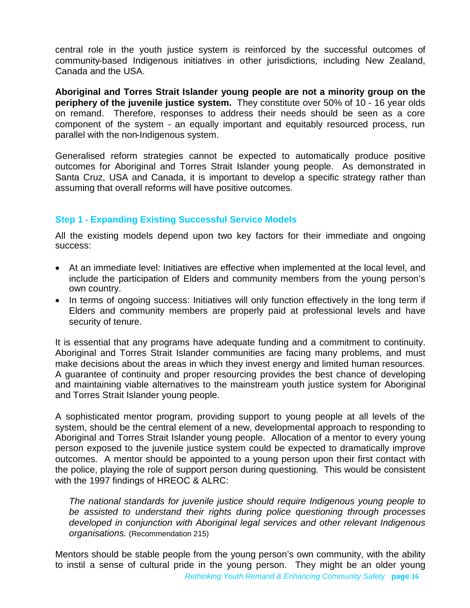central role in the youth justice system is reinforced by the successful outcomes of community-based Indigenous initiatives in other jurisdictions, including New Zealand, Canada and the USA.

**Aboriginal and Torres Strait Islander young people are not a minority group on the periphery of the juvenile justice system.** They constitute over 50% of 10 - 16 year olds on remand. Therefore, responses to address their needs should be seen as a core component of the system - an equally important and equitably resourced process, run parallel with the non-Indigenous system.

Generalised reform strategies cannot be expected to automatically produce positive outcomes for Aboriginal and Torres Strait Islander young people. As demonstrated in Santa Cruz, USA and Canada, it is important to develop a specific strategy rather than assuming that overall reforms will have positive outcomes.

#### **Step 1 - Expanding Existing Successful Service Models**

All the existing models depend upon two key factors for their immediate and ongoing success:

- At an immediate level: Initiatives are effective when implemented at the local level, and include the participation of Elders and community members from the young person's own country.
- In terms of ongoing success: Initiatives will only function effectively in the long term if Elders and community members are properly paid at professional levels and have security of tenure.

It is essential that any programs have adequate funding and a commitment to continuity. Aboriginal and Torres Strait Islander communities are facing many problems, and must make decisions about the areas in which they invest energy and limited human resources. A guarantee of continuity and proper resourcing provides the best chance of developing and maintaining viable alternatives to the mainstream youth justice system for Aboriginal and Torres Strait Islander young people.

A sophisticated mentor program, providing support to young people at all levels of the system, should be the central element of a new, developmental approach to responding to Aboriginal and Torres Strait Islander young people. Allocation of a mentor to every young person exposed to the juvenile justice system could be expected to dramatically improve outcomes. A mentor should be appointed to a young person upon their first contact with the police, playing the role of support person during questioning. This would be consistent with the 1997 findings of HREOC & ALRC:

*The national standards for juvenile justice should require Indigenous young people to be assisted to understand their rights during police questioning through processes developed in conjunction with Aboriginal legal services and other relevant Indigenous organisations.* (Recommendation 215)

*Rethinking Youth Remand & Enhancing Community Safety* **page 16** Mentors should be stable people from the young person's own community, with the ability to instil a sense of cultural pride in the young person. They might be an older young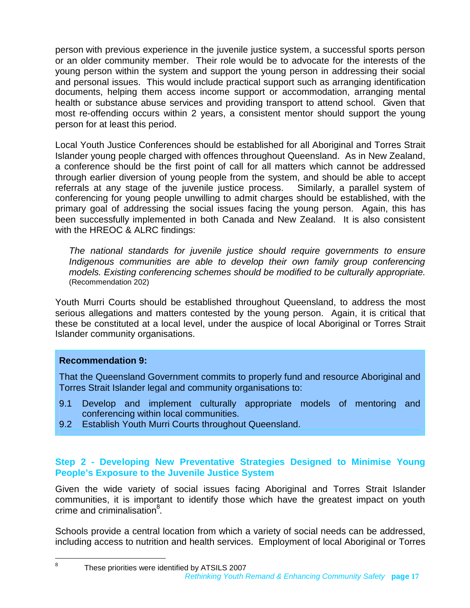person with previous experience in the juvenile justice system, a successful sports person or an older community member. Their role would be to advocate for the interests of the young person within the system and support the young person in addressing their social and personal issues. This would include practical support such as arranging identification documents, helping them access income support or accommodation, arranging mental health or substance abuse services and providing transport to attend school. Given that most re-offending occurs within 2 years, a consistent mentor should support the young person for at least this period.

Local Youth Justice Conferences should be established for all Aboriginal and Torres Strait Islander young people charged with offences throughout Queensland. As in New Zealand, a conference should be the first point of call for all matters which cannot be addressed through earlier diversion of young people from the system, and should be able to accept referrals at any stage of the juvenile justice process. Similarly, a parallel system of conferencing for young people unwilling to admit charges should be established, with the primary goal of addressing the social issues facing the young person. Again, this has been successfully implemented in both Canada and New Zealand. It is also consistent with the HREOC & ALRC findings:

*The national standards for juvenile justice should require governments to ensure Indigenous communities are able to develop their own family group conferencing models. Existing conferencing schemes should be modified to be culturally appropriate.* (Recommendation 202)

Youth Murri Courts should be established throughout Queensland, to address the most serious allegations and matters contested by the young person. Again, it is critical that these be constituted at a local level, under the auspice of local Aboriginal or Torres Strait Islander community organisations.

#### **Recommendation 9:**

That the Queensland Government commits to properly fund and resource Aboriginal and Torres Strait Islander legal and community organisations to:

- 9.1 Develop and implement culturally appropriate models of mentoring and conferencing within local communities.
- 9.2 Establish Youth Murri Courts throughout Queensland.

### **Step 2 - Developing New Preventative Strategies Designed to Minimise Young People's Exposure to the Juvenile Justice System**

Given the wide variety of social issues facing Aboriginal and Torres Strait Islander communities, it is important to identify those which have the greatest impact on youth crime and criminalisation<sup>[8](#page-16-0)</sup>.

Schools provide a central location from which a variety of social needs can be addressed, including access to nutrition and health services. Employment of local Aboriginal or Torres

<span id="page-16-0"></span>*Rethinking Youth Remand & Enhancing Community Safety* **page 17** 8 These priorities were identified by ATSILS 2007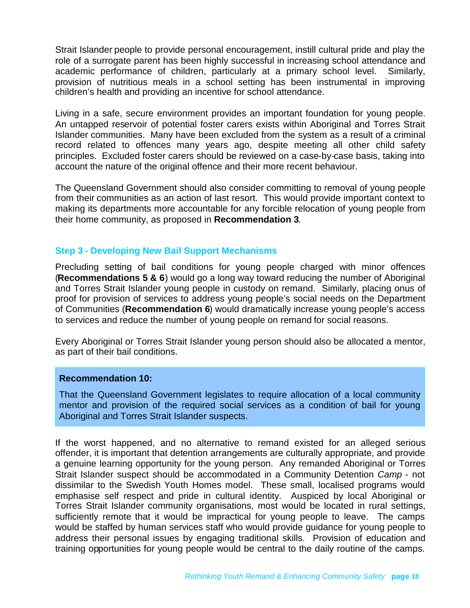Strait Islander people to provide personal encouragement, instill cultural pride and play the role of a surrogate parent has been highly successful in increasing school attendance and academic performance of children, particularly at a primary school level. Similarly, provision of nutritious meals in a school setting has been instrumental in improving children's health and providing an incentive for school attendance.

Living in a safe, secure environment provides an important foundation for young people. An untapped reservoir of potential foster carers exists within Aboriginal and Torres Strait Islander communities. Many have been excluded from the system as a result of a criminal record related to offences many years ago, despite meeting all other child safety principles. Excluded foster carers should be reviewed on a case-by-case basis, taking into account the nature of the original offence and their more recent behaviour.

The Queensland Government should also consider committing to removal of young people from their communities as an action of last resort. This would provide important context to making its departments more accountable for any forcible relocation of young people from their home community, as proposed in **Recommendation 3**.

#### **Step 3 - Developing New Bail Support Mechanisms**

Precluding setting of bail conditions for young people charged with minor offences (**Recommendations 5 & 6**) would go a long way toward reducing the number of Aboriginal and Torres Strait Islander young people in custody on remand. Similarly, placing onus of proof for provision of services to address young people's social needs on the Department of Communities (**Recommendation 6**) would dramatically increase young people's access to services and reduce the number of young people on remand for social reasons.

Every Aboriginal or Torres Strait Islander young person should also be allocated a mentor, as part of their bail conditions.

#### **Recommendation 10:**

That the Queensland Government legislates to require allocation of a local community mentor and provision of the required social services as a condition of bail for young Aboriginal and Torres Strait Islander suspects.

If the worst happened, and no alternative to remand existed for an alleged serious offender, it is important that detention arrangements are culturally appropriate, and provide a genuine learning opportunity for the young person. Any remanded Aboriginal or Torres Strait Islander suspect should be accommodated in a Community Detention *Camp* - not dissimilar to the Swedish Youth Homes model. These small, localised programs would emphasise self respect and pride in cultural identity. Auspiced by local Aboriginal or Torres Strait Islander community organisations, most would be located in rural settings, sufficiently remote that it would be impractical for young people to leave. The camps would be staffed by human services staff who would provide guidance for young people to address their personal issues by engaging traditional skills. Provision of education and training opportunities for young people would be central to the daily routine of the camps.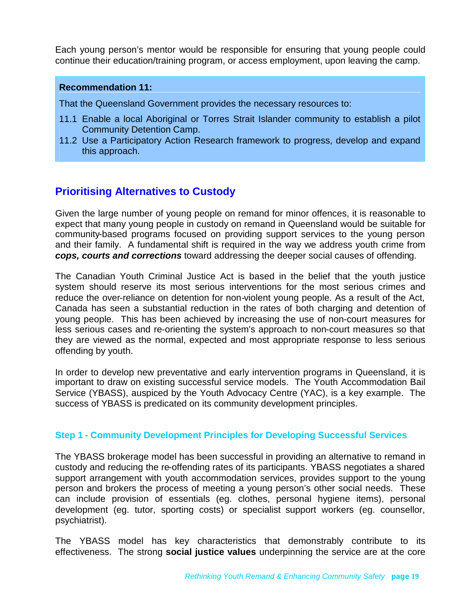Each young person's mentor would be responsible for ensuring that young people could continue their education/training program, or access employment, upon leaving the camp.

#### **Recommendation 11:**

That the Queensland Government provides the necessary resources to:

- 11.1 Enable a local Aboriginal or Torres Strait Islander community to establish a pilot Community Detention Camp.
- 11.2 Use a Participatory Action Research framework to progress, develop and expand this approach.

# <span id="page-18-0"></span>**Prioritising Alternatives to Custody**

Given the large number of young people on remand for minor offences, it is reasonable to expect that many young people in custody on remand in Queensland would be suitable for community-based programs focused on providing support services to the young person and their family. A fundamental shift is required in the way we address youth crime from *cops, courts and corrections* toward addressing the deeper social causes of offending.

The Canadian Youth Criminal Justice Act is based in the belief that the youth justice system should reserve its most serious interventions for the most serious crimes and reduce the over-reliance on detention for non-violent young people. As a result of the Act, Canada has seen a substantial reduction in the rates of both charging and detention of young people. This has been achieved by increasing the use of non-court measures for less serious cases and re-orienting the system's approach to non-court measures so that they are viewed as the normal, expected and most appropriate response to less serious offending by youth.

In order to develop new preventative and early intervention programs in Queensland, it is important to draw on existing successful service models. The Youth Accommodation Bail Service (YBASS), auspiced by the Youth Advocacy Centre (YAC), is a key example. The success of YBASS is predicated on its community development principles.

#### **Step 1 - Community Development Principles for Developing Successful Services**

The YBASS brokerage model has been successful in providing an alternative to remand in custody and reducing the re-offending rates of its participants. YBASS negotiates a shared support arrangement with youth accommodation services, provides support to the young person and brokers the process of meeting a young person's other social needs. These can include provision of essentials (eg. clothes, personal hygiene items), personal development (eg. tutor, sporting costs) or specialist support workers (eg. counsellor, psychiatrist).

The YBASS model has key characteristics that demonstrably contribute to its effectiveness. The strong **social justice values** underpinning the service are at the core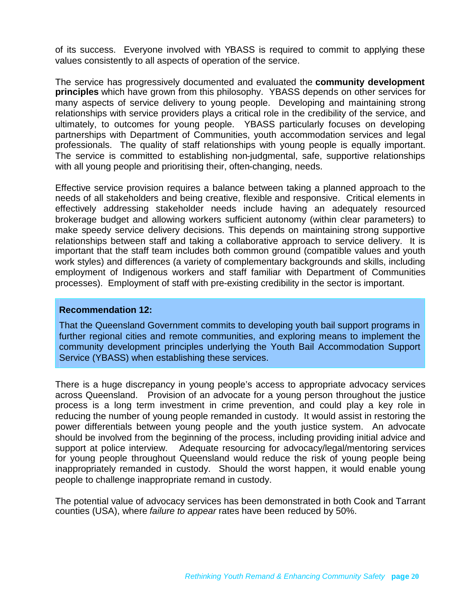of its success. Everyone involved with YBASS is required to commit to applying these values consistently to all aspects of operation of the service.

The service has progressively documented and evaluated the **community development principles** which have grown from this philosophy. YBASS depends on other services for many aspects of service delivery to young people. Developing and maintaining strong relationships with service providers plays a critical role in the credibility of the service, and ultimately, to outcomes for young people. YBASS particularly focuses on developing partnerships with Department of Communities, youth accommodation services and legal professionals. The quality of staff relationships with young people is equally important. The service is committed to establishing non-judgmental, safe, supportive relationships with all young people and prioritising their, often-changing, needs.

Effective service provision requires a balance between taking a planned approach to the needs of all stakeholders and being creative, flexible and responsive. Critical elements in effectively addressing stakeholder needs include having an adequately resourced brokerage budget and allowing workers sufficient autonomy (within clear parameters) to make speedy service delivery decisions. This depends on maintaining strong supportive relationships between staff and taking a collaborative approach to service delivery. It is important that the staff team includes both common ground (compatible values and youth work styles) and differences (a variety of complementary backgrounds and skills, including employment of Indigenous workers and staff familiar with Department of Communities processes). Employment of staff with pre-existing credibility in the sector is important.

#### **Recommendation 12:**

That the Queensland Government commits to developing youth bail support programs in further regional cities and remote communities, and exploring means to implement the community development principles underlying the Youth Bail Accommodation Support Service (YBASS) when establishing these services.

There is a huge discrepancy in young people's access to appropriate advocacy services across Queensland. Provision of an advocate for a young person throughout the justice process is a long term investment in crime prevention, and could play a key role in reducing the number of young people remanded in custody. It would assist in restoring the power differentials between young people and the youth justice system. An advocate should be involved from the beginning of the process, including providing initial advice and support at police interview. Adequate resourcing for advocacy/legal/mentoring services for young people throughout Queensland would reduce the risk of young people being inappropriately remanded in custody. Should the worst happen, it would enable young people to challenge inappropriate remand in custody.

The potential value of advocacy services has been demonstrated in both Cook and Tarrant counties (USA), where *failure to appear* rates have been reduced by 50%.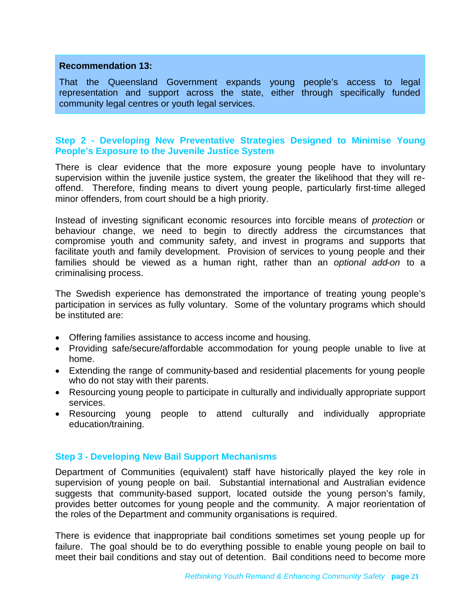#### **Recommendation 13:**

That the Queensland Government expands young people's access to legal representation and support across the state, either through specifically funded community legal centres or youth legal services.

#### **Step 2 - Developing New Preventative Strategies Designed to Minimise Young People's Exposure to the Juvenile Justice System**

There is clear evidence that the more exposure young people have to involuntary supervision within the juvenile justice system, the greater the likelihood that they will reoffend. Therefore, finding means to divert young people, particularly first-time alleged minor offenders, from court should be a high priority.

Instead of investing significant economic resources into forcible means of *protection* or behaviour change, we need to begin to directly address the circumstances that compromise youth and community safety, and invest in programs and supports that facilitate youth and family development. Provision of services to young people and their families should be viewed as a human right, rather than an *optional add-on* to a criminalising process.

The Swedish experience has demonstrated the importance of treating young people's participation in services as fully voluntary. Some of the voluntary programs which should be instituted are:

- Offering families assistance to access income and housing.
- Providing safe/secure/affordable accommodation for young people unable to live at home.
- Extending the range of community-based and residential placements for young people who do not stay with their parents.
- Resourcing young people to participate in culturally and individually appropriate support services.
- Resourcing young people to attend culturally and individually appropriate education/training.

#### **Step 3 - Developing New Bail Support Mechanisms**

Department of Communities (equivalent) staff have historically played the key role in supervision of young people on bail. Substantial international and Australian evidence suggests that community-based support, located outside the young person's family, provides better outcomes for young people and the community. A major reorientation of the roles of the Department and community organisations is required.

There is evidence that inappropriate bail conditions sometimes set young people up for failure. The goal should be to do everything possible to enable young people on bail to meet their bail conditions and stay out of detention. Bail conditions need to become more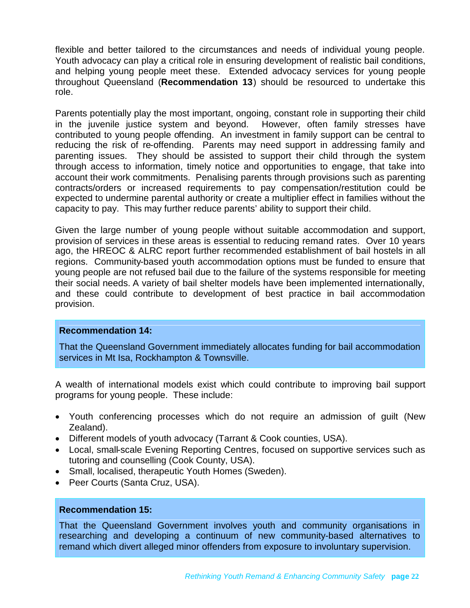flexible and better tailored to the circumstances and needs of individual young people. Youth advocacy can play a critical role in ensuring development of realistic bail conditions, and helping young people meet these. Extended advocacy services for young people throughout Queensland (**Recommendation 13**) should be resourced to undertake this role.

Parents potentially play the most important, ongoing, constant role in supporting their child in the juvenile justice system and beyond. However, often family stresses have contributed to young people offending. An investment in family support can be central to reducing the risk of re-offending. Parents may need support in addressing family and parenting issues. They should be assisted to support their child through the system through access to information, timely notice and opportunities to engage, that take into account their work commitments. Penalising parents through provisions such as parenting contracts/orders or increased requirements to pay compensation/restitution could be expected to undermine parental authority or create a multiplier effect in families without the capacity to pay. This may further reduce parents' ability to support their child.

Given the large number of young people without suitable accommodation and support, provision of services in these areas is essential to reducing remand rates. Over 10 years ago, the HREOC & ALRC report further recommended establishment of bail hostels in all regions. Community-based youth accommodation options must be funded to ensure that young people are not refused bail due to the failure of the systems responsible for meeting their social needs. A variety of bail shelter models have been implemented internationally, and these could contribute to development of best practice in bail accommodation provision.

#### **Recommendation 14:**

That the Queensland Government immediately allocates funding for bail accommodation services in Mt Isa, Rockhampton & Townsville.

A wealth of international models exist which could contribute to improving bail support programs for young people. These include:

- Youth conferencing processes which do not require an admission of guilt (New Zealand).
- Different models of youth advocacy (Tarrant & Cook counties, USA).
- Local, small-scale Evening Reporting Centres, focused on supportive services such as tutoring and counselling (Cook County, USA).
- Small, localised, therapeutic Youth Homes (Sweden).
- Peer Courts (Santa Cruz, USA).

#### **Recommendation 15:**

That the Queensland Government involves youth and community organisations in researching and developing a continuum of new community-based alternatives to remand which divert alleged minor offenders from exposure to involuntary supervision.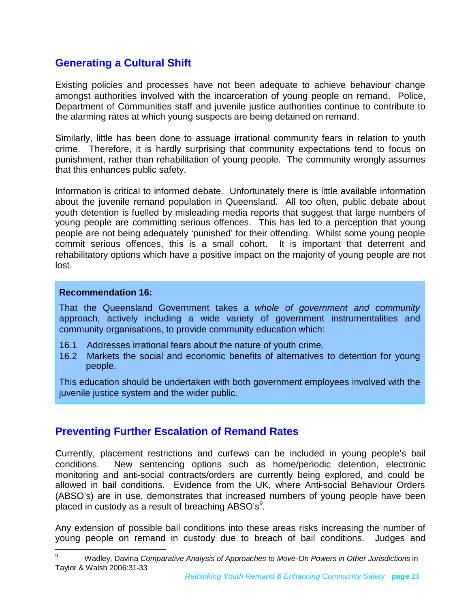# <span id="page-22-0"></span>**Generating a Cultural Shift**

Existing policies and processes have not been adequate to achieve behaviour change amongst authorities involved with the incarceration of young people on remand. Police, Department of Communities staff and juvenile justice authorities continue to contribute to the alarming rates at which young suspects are being detained on remand.

Similarly, little has been done to assuage irrational community fears in relation to youth crime. Therefore, it is hardly surprising that community expectations tend to focus on punishment, rather than rehabilitation of young people. The community wrongly assumes that this enhances public safety.

Information is critical to informed debate. Unfortunately there is little available information about the juvenile remand population in Queensland. All too often, public debate about youth detention is fuelled by misleading media reports that suggest that large numbers of young people are committing serious offences. This has led to a perception that young people are not being adequately 'punished' for their offending. Whilst some young people commit serious offences, this is a small cohort. It is important that deterrent and rehabilitatory options which have a positive impact on the majority of young people are not lost.

#### **Recommendation 16:**

That the Queensland Government takes a *whole of government and community* approach, actively including a wide variety of government instrumentalities and community organisations, to provide community education which:

- 16.1 Addresses irrational fears about the nature of youth crime.
- 16.2 Markets the social and economic benefits of alternatives to detention for young people.

This education should be undertaken with both government employees involved with the juvenile justice system and the wider public.

# <span id="page-22-1"></span>**Preventing Further Escalation of Remand Rates**

Currently, placement restrictions and curfews can be included in young people's bail conditions. New sentencing options such as home/periodic detention, electronic monitoring and anti-social contracts/orders are currently being explored, and could be allowed in bail conditions. Evidence from the UK, where Anti-social Behaviour Orders (ABSO's) are in use, demonstrates that increased numbers of young people have been placed in custody as a result of breaching ABSO's $9$ .

Any extension of possible bail conditions into these areas risks increasing the number of young people on remand in custody due to breach of bail conditions. Judges and

<span id="page-22-2"></span><sup>9</sup> Wadley, Davina *Comparative Analysis of Approaches to Move-On Powers in Other Jurisdictions* in Taylor & Walsh 2006:31-33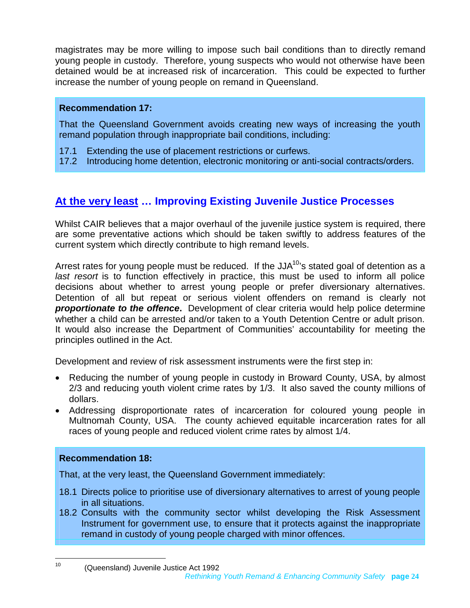magistrates may be more willing to impose such bail conditions than to directly remand young people in custody. Therefore, young suspects who would not otherwise have been detained would be at increased risk of incarceration. This could be expected to further increase the number of young people on remand in Queensland.

#### **Recommendation 17:**

That the Queensland Government avoids creating new ways of increasing the youth remand population through inappropriate bail conditions, including:

- 17.1 Extending the use of placement restrictions or curfews.
- 17.2 Introducing home detention, electronic monitoring or anti-social contracts/orders.

# <span id="page-23-0"></span>**At the very least … Improving Existing Juvenile Justice Processes**

Whilst CAIR believes that a major overhaul of the juvenile justice system is required, there are some preventative actions which should be taken swiftly to address features of the current system which directly contribute to high remand levels.

Arrestrates for young people must be reduced. If the JJA $^{10}$ 's stated goal of detention as a *last resort* is to function effectively in practice, this must be used to inform all police decisions about whether to arrest young people or prefer diversionary alternatives. Detention of all but repeat or serious violent offenders on remand is clearly not *proportionate to the offence***.** Development of clear criteria would help police determine whether a child can be arrested and/or taken to a Youth Detention Centre or adult prison. It would also increase the Department of Communities' accountability for meeting the principles outlined in the Act.

Development and review of risk assessment instruments were the first step in:

- Reducing the number of young people in custody in Broward County, USA, by almost 2/3 and reducing youth violent crime rates by 1/3. It also saved the county millions of dollars.
- Addressing disproportionate rates of incarceration for coloured young people in Multnomah County, USA. The county achieved equitable incarceration rates for all races of young people and reduced violent crime rates by almost 1/4.

### **Recommendation 18:**

That, at the very least, the Queensland Government immediately:

- 18.1 Directs police to prioritise use of diversionary alternatives to arrest of young people in all situations.
- 18.2 Consults with the community sector whilst developing the Risk Assessment Instrument for government use, to ensure that it protects against the inappropriate remand in custody of young people charged with minor offences.

<span id="page-23-1"></span>*Rethinking Youth Remand & Enhancing Community Safety* **page 24** <sup>10</sup> (Queensland) Juvenile Justice Act 1992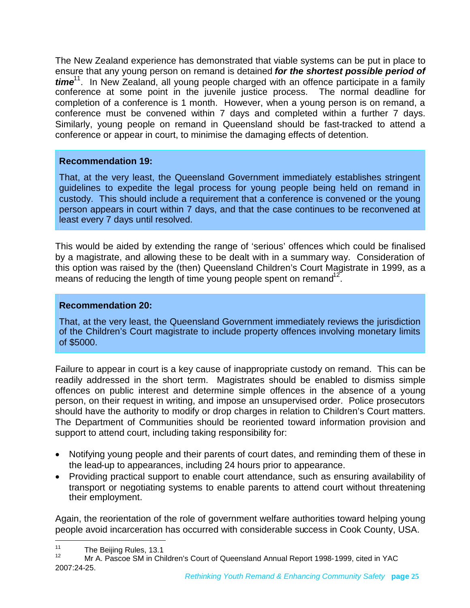The New Zealand experience has demonstrated that viable systems can be put in place to ensure that any young person on remand is detained *for the shortest possible period of time*[11](#page-24-0). In New Zealand, all young people charged with an offence participate in a family conference at some point in the juvenile justice process. The normal deadline for completion of a conference is 1 month. However, when a young person is on remand, a conference must be convened within 7 days and completed within a further 7 days. Similarly, young people on remand in Queensland should be fast-tracked to attend a conference or appear in court, to minimise the damaging effects of detention.

#### **Recommendation 19:**

That, at the very least, the Queensland Government immediately establishes stringent guidelines to expedite the legal process for young people being held on remand in custody. This should include a requirement that a conference is convened or the young person appears in court within 7 days, and that the case continues to be reconvened at least every 7 days until resolved.

This would be aided by extending the range of 'serious' offences which could be finalised by a magistrate, and allowing these to be dealt with in a summary way. Consideration of this option was raised by the (then) Queensland Children's Court Magistrate in 1999, as a means of reducing the length of time young people spent on remand $12$ .

#### **Recommendation 20:**

That, at the very least, the Queensland Government immediately reviews the jurisdiction of the Children's Court magistrate to include property offences involving monetary limits of \$5000.

Failure to appear in court is a key cause of inappropriate custody on remand. This can be readily addressed in the short term. Magistrates should be enabled to dismiss simple offences on public interest and determine simple offences in the absence of a young person, on their request in writing, and impose an unsupervised order. Police prosecutors should have the authority to modify or drop charges in relation to Children's Court matters. The Department of Communities should be reoriented toward information provision and support to attend court, including taking responsibility for:

- Notifying young people and their parents of court dates, and reminding them of these in the lead-up to appearances, including 24 hours prior to appearance.
- Providing practical support to enable court attendance, such as ensuring availability of transport or negotiating systems to enable parents to attend court without threatening their employment.

Again, the reorientation of the role of government welfare authorities toward helping young people avoid incarceration has occurred with considerable success in Cook County, USA.

<span id="page-24-0"></span> $11$  The Beijing Rules, 13.1

<span id="page-24-1"></span><sup>12</sup> Mr A. Pascoe SM in Children's Court of Queensland Annual Report 1998-1999, cited in YAC 2007:24-25.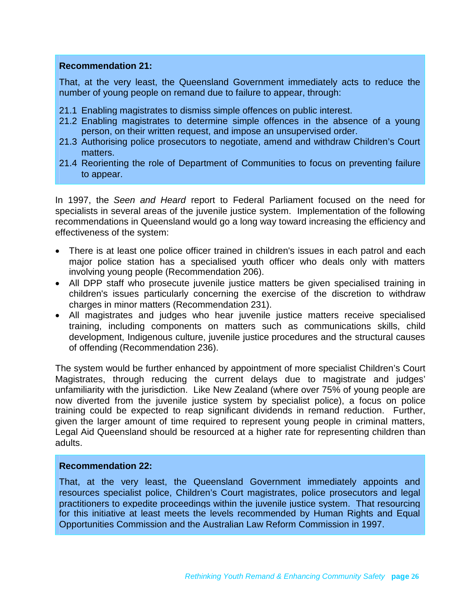#### **Recommendation 21:**

That, at the very least, the Queensland Government immediately acts to reduce the number of young people on remand due to failure to appear, through:

- 21.1 Enabling magistrates to dismiss simple offences on public interest.
- 21.2 Enabling magistrates to determine simple offences in the absence of a young person, on their written request, and impose an unsupervised order.
- 21.3 Authorising police prosecutors to negotiate, amend and withdraw Children's Court matters.
- 21.4 Reorienting the role of Department of Communities to focus on preventing failure to appear.

In 1997, the *Seen and Heard* report to Federal Parliament focused on the need for specialists in several areas of the juvenile justice system. Implementation of the following recommendations in Queensland would go a long way toward increasing the efficiency and effectiveness of the system:

- There is at least one police officer trained in children's issues in each patrol and each major police station has a specialised youth officer who deals only with matters involving young people (Recommendation 206).
- All DPP staff who prosecute juvenile justice matters be given specialised training in children's issues particularly concerning the exercise of the discretion to withdraw charges in minor matters (Recommendation 231).
- All magistrates and judges who hear juvenile justice matters receive specialised training, including components on matters such as communications skills, child development, Indigenous culture, juvenile justice procedures and the structural causes of offending (Recommendation 236).

The system would be further enhanced by appointment of more specialist Children's Court Magistrates, through reducing the current delays due to magistrate and judges' unfamiliarity with the jurisdiction. Like New Zealand (where over 75% of young people are now diverted from the juvenile justice system by specialist police), a focus on police training could be expected to reap significant dividends in remand reduction. Further, given the larger amount of time required to represent young people in criminal matters, Legal Aid Queensland should be resourced at a higher rate for representing children than adults.

#### **Recommendation 22:**

That, at the very least, the Queensland Government immediately appoints and resources specialist police, Children's Court magistrates, police prosecutors and legal practitioners to expedite proceedings within the juvenile justice system. That resourcing for this initiative at least meets the levels recommended by Human Rights and Equal Opportunities Commission and the Australian Law Reform Commission in 1997.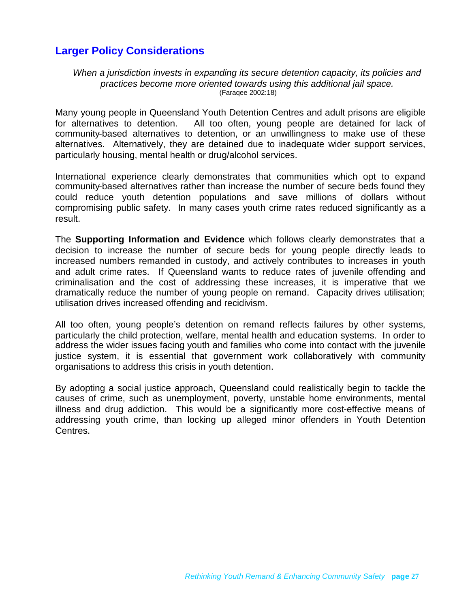# <span id="page-26-0"></span>**Larger Policy Considerations**

#### *When a jurisdiction invests in expanding its secure detention capacity, its policies and practices become more oriented towards using this additional jail space.* (Faraqee 2002:18)

Many young people in Queensland Youth Detention Centres and adult prisons are eligible for alternatives to detention. All too often, young people are detained for lack of community-based alternatives to detention, or an unwillingness to make use of these alternatives. Alternatively, they are detained due to inadequate wider support services, particularly housing, mental health or drug/alcohol services.

International experience clearly demonstrates that communities which opt to expand community-based alternatives rather than increase the number of secure beds found they could reduce youth detention populations and save millions of dollars without compromising public safety. In many cases youth crime rates reduced significantly as a result.

The **Supporting Information and Evidence** which follows clearly demonstrates that a decision to increase the number of secure beds for young people directly leads to increased numbers remanded in custody, and actively contributes to increases in youth and adult crime rates. If Queensland wants to reduce rates of juvenile offending and criminalisation and the cost of addressing these increases, it is imperative that we dramatically reduce the number of young people on remand. Capacity drives utilisation; utilisation drives increased offending and recidivism.

All too often, young people's detention on remand reflects failures by other systems, particularly the child protection, welfare, mental health and education systems. In order to address the wider issues facing youth and families who come into contact with the juvenile justice system, it is essential that government work collaboratively with community organisations to address this crisis in youth detention.

By adopting a social justice approach, Queensland could realistically begin to tackle the causes of crime, such as unemployment, poverty, unstable home environments, mental illness and drug addiction. This would be a significantly more cost-effective means of addressing youth crime, than locking up alleged minor offenders in Youth Detention Centres.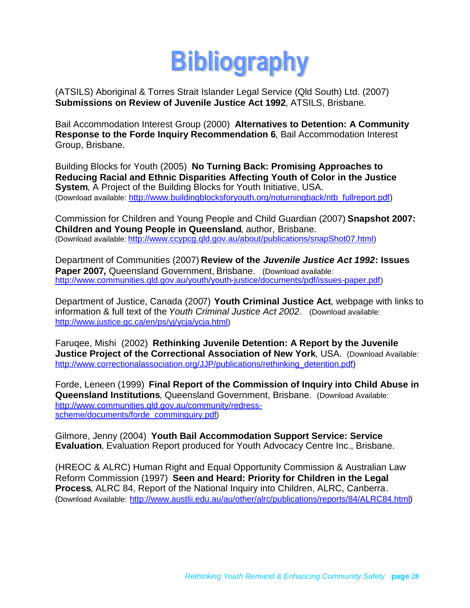<span id="page-27-0"></span>

(ATSILS) Aboriginal & Torres Strait Islander Legal Service (Qld South) Ltd. (2007) **Submissions on Review of Juvenile Justice Act 1992**, ATSILS, Brisbane.

Bail Accommodation Interest Group (2000) **Alternatives to Detention: A Community Response to the Forde Inquiry Recommendation 6**, Bail Accommodation Interest Group, Brisbane.

Building Blocks for Youth (2005) **No Turning Back: Promising Approaches to Reducing Racial and Ethnic Disparities Affecting Youth of Color in the Justice System**, A Project of the Building Blocks for Youth Initiative, USA. (Download available: [http://www.buildingblocksforyouth.org/noturningback/ntb\\_fullreport.pdf\)](http://www.buildingblocksforyouth.org/noturningback/ntb_fullreport.pdf)

Commission for Children and Young People and Child Guardian (2007) **Snapshot 2007: Children and Young People in Queensland**, author, Brisbane. (Download available: <http://www.ccypcg.qld.gov.au/about/publications/snapShot07.html>)

Department of Communities (2007) **Review of the** *Juvenile Justice Act 1992***: Issues Paper 2007, Queensland Government, Brisbane.** (Download available: <http://www.communities.qld.gov.au/youth/youth-justice/documents/pdf/issues-paper.pdf>)

Department of Justice, Canada (2007) **Youth Criminal Justice Act**, webpage with links to information & full text of the *Youth Criminal Justice Act 2002*. (Download available: <http://www.justice.gc.ca/en/ps/yj/ycja/ycja.html>)

Faruqee, Mishi (2002) **Rethinking Juvenile Detention: A Report by the Juvenile Justice Project of the Correctional Association of New York**, USA. (Download Available: [http://www.correctionalassociation.org/JJP/publications/rethinking\\_detention.pdf\)](http://www.correctionalassociation.org/JJP/publications/rethinking_detention.pdf)

Forde, Leneen (1999) **Final Report of the Commission of Inquiry into Child Abuse in Queensland Institutions**, Queensland Government, Brisbane. (Download Available: [http://www.communities.qld.gov.au/community/redress](http://www.communities.qld.gov.au/community/redress-scheme/documents/forde_comminquiry.pdf)[scheme/documents/forde\\_comminquiry.pdf](http://www.communities.qld.gov.au/community/redress-scheme/documents/forde_comminquiry.pdf))

Gilmore, Jenny (2004) **Youth Bail Accommodation Support Service: Service Evaluation**, Evaluation Report produced for Youth Advocacy Centre Inc., Brisbane.

(HREOC & ALRC) Human Right and Equal Opportunity Commission & Australian Law Reform Commission (1997) **Seen and Heard: Priority for Children in the Legal Process**, ALRC 84, Report of the National Inquiry into Children, ALRC, Canberra. (Download Available: [http://www.austlii.edu.au/au/other/alrc/publications/reports/84/ALRC84.html\)](http://www.austlii.edu.au/au/other/alrc/publications/reports/84/ALRC84.html)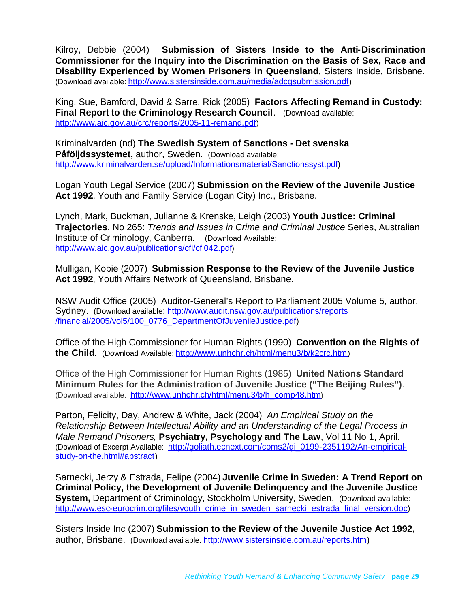Kilroy, Debbie (2004) **Submission of Sisters Inside to the Anti-Discrimination Commissioner for the Inquiry into the Discrimination on the Basis of Sex, Race and Disability Experienced by Women Prisoners in Queensland**, Sisters Inside, Brisbane. (Download available: <http://www.sistersinside.com.au/media/adcqsubmission.pdf>)

King, Sue, Bamford, David & Sarre, Rick (2005) **Factors Affecting Remand in Custody: Final Report to the Criminology Research Council**. (Download available: <http://www.aic.gov.au/crc/reports/2005-11-remand.pdf>)

Kriminalvarden (nd) **The Swedish System of Sanctions - Det svenska Påföljdssystemet,** author, Sweden. (Download available: [http://www.kriminalvarden.se/upload/Informationsmaterial/Sanctionssyst.pdf\)](http://www.kriminalvarden.se/upload/Informationsmaterial/Sanctionssyst.pdf)

Logan Youth Legal Service (2007) **Submission on the Review of the Juvenile Justice Act 1992**, Youth and Family Service (Logan City) Inc., Brisbane.

Lynch, Mark, Buckman, Julianne & Krenske, Leigh (2003) **Youth Justice: Criminal Trajectories**, No 265: *Trends and Issues in Crime and Criminal Justice* Series, Australian Institute of Criminology, Canberra. (Download Available: <http://www.aic.gov.au/publications/cfi/cfi042.pdf>)

Mulligan, Kobie (2007) **Submission Response to the Review of the Juvenile Justice Act 1992**, Youth Affairs Network of Queensland, Brisbane.

NSW Audit Office (2005) Auditor-General's Report to Parliament 2005 Volume 5, author, Sydney. (Download available: [http://www.audit.nsw.gov.au/publications/reports](http://www.audit.nsw.gov.au/publications/reports%20/financial/2005/vol5/100_0776_DepartmentOfJuvenileJustice.pdf) [/financial/2005/vol5/100\\_0776\\_DepartmentOfJuvenileJustice.pdf\)](http://www.audit.nsw.gov.au/publications/reports%20/financial/2005/vol5/100_0776_DepartmentOfJuvenileJustice.pdf)

Office of the High Commissioner for Human Rights (1990) **Convention on the Rights of the Child.** (Download Available: <http://www.unhchr.ch/html/menu3/b/k2crc.htm>)

Office of the High Commissioner for Human Rights (1985) **United Nations Standard Minimum Rules for the Administration of Juvenile Justice ("The Beijing Rules")**. (Download available: [http://www.unhchr.ch/html/menu3/b/h\\_comp48.htm](http://www.unhchr.ch/html/menu3/b/h_comp48.htm))

Parton, Felicity, Day, Andrew & White, Jack (2004) *An Empirical Study on the Relationship Between Intellectual Ability and an Understanding of the Legal Process in Male Remand Prisoners*, **Psychiatry, Psychology and The Law**, Vol 11 No 1, April. (Download of Excerpt Available: [http://goliath.ecnext.com/coms2/gi\\_0199-2351192/An-empirical](http://goliath.ecnext.com/coms2/gi_0199-2351192/An-empirical-study-on-the.html#abstract)[study-on-the.html#abstract](http://goliath.ecnext.com/coms2/gi_0199-2351192/An-empirical-study-on-the.html#abstract))

Sarnecki, Jerzy & Estrada, Felipe (2004) **Juvenile Crime in Sweden: A Trend Report on Criminal Policy, the Development of Juvenile Delinquency and the Juvenile Justice System, Department of Criminology, Stockholm University, Sweden. (Download available:** [http://www.esc-eurocrim.org/files/youth\\_crime\\_in\\_sweden\\_sarnecki\\_estrada\\_final\\_version.doc\)](http://www.esc-eurocrim.org/files/youth_crime_in_sweden_sarnecki_estrada_final_version.doc)

Sisters Inside Inc (2007) **Submission to the Review of the Juvenile Justice Act 1992,** author, Brisbane. (Download available: [http://www.sistersinside.com.au/reports.htm\)](http://www.sistersinside.com.au/reports.htm)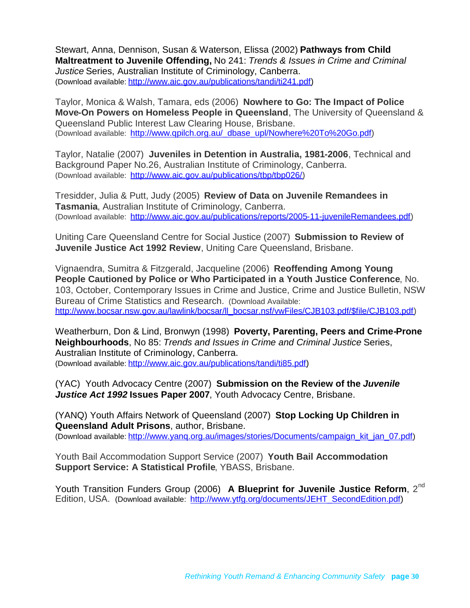Stewart, Anna, Dennison, Susan & Waterson, Elissa (2002) **Pathways from Child Maltreatment to Juvenile Offending,** No 241: *Trends & Issues in Crime and Criminal Justice* Series, Australian Institute of Criminology, Canberra. (Download available: [http://www.aic.gov.au/publications/tandi/ti241.pdf\)](http://www.aic.gov.au/publications/tandi/ti241.pdf)

Taylor, Monica & Walsh, Tamara, eds (2006) **Nowhere to Go: The Impact of Police Move-On Powers on Homeless People in Queensland**, The University of Queensland & Queensland Public Interest Law Clearing House, Brisbane. (Download available: [http://www.qpilch.org.au/\\_dbase\\_upl/Nowhere%20To%20Go.pdf\)](http://www.qpilch.org.au/_dbase_upl/Nowhere%20To%20Go.pdf)

Taylor, Natalie (2007) **Juveniles in Detention in Australia, 1981-2006**, Technical and Background Paper No.26, Australian Institute of Criminology, Canberra. (Download available: [http://www.aic.gov.au/publications/tbp/tbp026/\)](http://www.aic.gov.au/publications/tbp/tbp026/)

Tresidder, Julia & Putt, Judy (2005) **Review of Data on Juvenile Remandees in Tasmania**, Australian Institute of Criminology, Canberra. (Download available: [http://www.aic.gov.au/publications/reports/2005-11-juvenileRemandees.pdf\)](http://www.aic.gov.au/publications/reports/2005-11-juvenileRemandees.pdf)

Uniting Care Queensland Centre for Social Justice (2007) **Submission to Review of Juvenile Justice Act 1992 Review**, Uniting Care Queensland, Brisbane.

Vignaendra, Sumitra & Fitzgerald, Jacqueline (2006) **Reoffending Among Young People Cautioned by Police or Who Participated in a Youth Justice Conference**, No. 103, October, Contemporary Issues in Crime and Justice, Crime and Justice Bulletin, NSW Bureau of Crime Statistics and Research. (Download Available: [http://www.bocsar.nsw.gov.au/lawlink/bocsar/ll\\_bocsar.nsf/vwFiles/CJB103.pdf/\\$file/CJB103.pdf\)](http://www.bocsar.nsw.gov.au/lawlink/bocsar/ll_bocsar.nsf/vwFiles/CJB103.pdf/$file/CJB103.pdf)

Weatherburn, Don & Lind, Bronwyn (1998) **Poverty, Parenting, Peers and Crime-Prone Neighbourhoods**, No 85: *Trends and Issues in Crime and Criminal Justice* Series, Australian Institute of Criminology, Canberra. (Download available: [http://www.aic.gov.au/publications/tandi/ti85.pdf\)](http://www.aic.gov.au/publications/tandi/ti85.pdf)

(YAC) Youth Advocacy Centre (2007) **Submission on the Review of the** *Juvenile Justice Act 1992* **Issues Paper 2007**, Youth Advocacy Centre, Brisbane.

(YANQ) Youth Affairs Network of Queensland (2007) **Stop Locking Up Children in Queensland Adult Prisons**, author, Brisbane. (Download available: http://www.yang.org.au/images/stories/Documents/campaign\_kit\_jan\_07.pdf)

Youth Bail Accommodation Support Service (2007) **Youth Bail Accommodation Support Service: A Statistical Profile**, YBASS, Brisbane.

Youth Transition Funders Group (2006) A Blueprint for Juvenile Justice Reform, 2<sup>nd</sup> Edition, USA. (Download available: [http://www.ytfg.org/documents/JEHT\\_SecondEdition.pdf\)](http://www.ytfg.org/documents/JEHT_SecondEdition.pdf)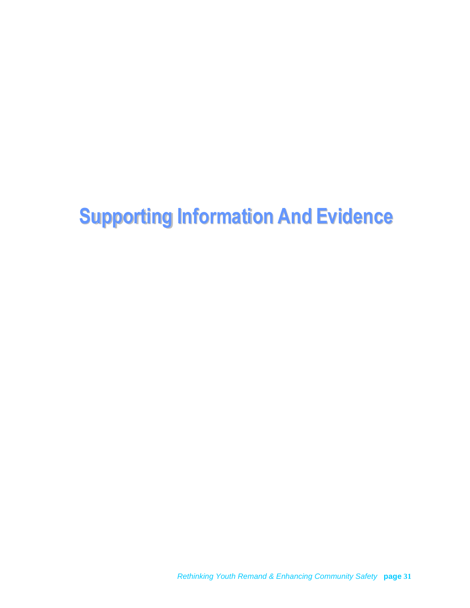# **Supporting Information And Evidence**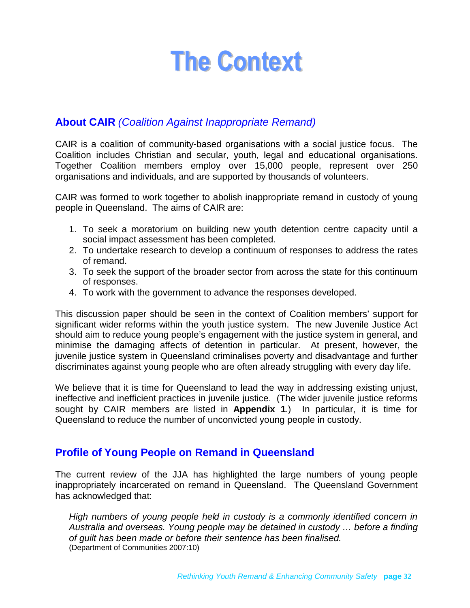# <span id="page-31-0"></span>**The Context**

# <span id="page-31-1"></span>**About CAIR** *(Coalition Against Inappropriate Remand)*

CAIR is a coalition of community-based organisations with a social justice focus. The Coalition includes Christian and secular, youth, legal and educational organisations. Together Coalition members employ over 15,000 people, represent over 250 organisations and individuals, and are supported by thousands of volunteers.

CAIR was formed to work together to abolish inappropriate remand in custody of young people in Queensland. The aims of CAIR are:

- 1. To seek a moratorium on building new youth detention centre capacity until a social impact assessment has been completed.
- 2. To undertake research to develop a continuum of responses to address the rates of remand.
- 3. To seek the support of the broader sector from across the state for this continuum of responses.
- 4. To work with the government to advance the responses developed.

This discussion paper should be seen in the context of Coalition members' support for significant wider reforms within the youth justice system. The new Juvenile Justice Act should aim to reduce young people's engagement with the justice system in general, and minimise the damaging affects of detention in particular. At present, however, the juvenile justice system in Queensland criminalises poverty and disadvantage and further discriminates against young people who are often already struggling with every day life.

We believe that it is time for Queensland to lead the way in addressing existing unjust, ineffective and inefficient practices in juvenile justice. (The wider juvenile justice reforms sought by CAIR members are listed in **Appendix 1**.) In particular, it is time for Queensland to reduce the number of unconvicted young people in custody.

### <span id="page-31-2"></span>**Profile of Young People on Remand in Queensland**

The current review of the JJA has highlighted the large numbers of young people inappropriately incarcerated on remand in Queensland. The Queensland Government has acknowledged that:

*High numbers of young people held in custody is a commonly identified concern in Australia and overseas. Young people may be detained in custody … before a finding of guilt has been made or before their sentence has been finalised.* (Department of Communities 2007:10)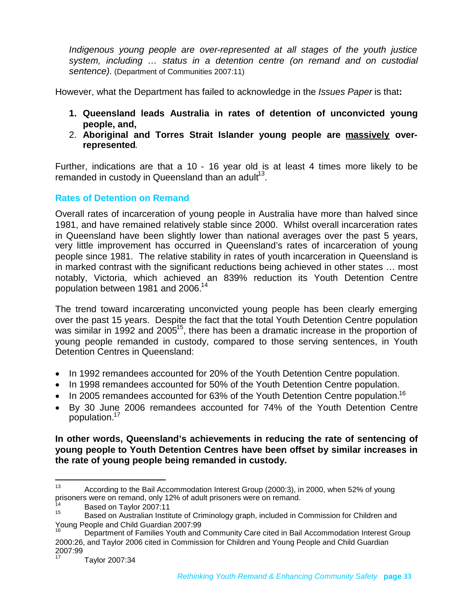*Indigenous young people are over-represented at all stages of the youth justice system, including … status in a detention centre (on remand and on custodial sentence).* (Department of Communities 2007:11)

However, what the Department has failed to acknowledge in the *Issues Paper* is that**:**

- **1. Queensland leads Australia in rates of detention of unconvicted young people, and,**
- 2. **Aboriginal and Torres Strait Islander young people are massively overrepresented**.

Further, indications are that a 10 - 16 year old is at least 4 times more likely to be remanded in custody in Queensland than an adult $^{13}$  $^{13}$  $^{13}$ .

### **Rates of Detention on Remand**

Overall rates of incarceration of young people in Australia have more than halved since 1981, and have remained relatively stable since 2000. Whilst overall incarceration rates in Queensland have been slightly lower than national averages over the past 5 years, very little improvement has occurred in Queensland's rates of incarceration of young people since 1981. The relative stability in rates of youth incarceration in Queensland is in marked contrast with the significant reductions being achieved in other states … most notably, Victoria, which achieved an 839% reduction its Youth Detention Centre population between 1981 and 2006.<sup>[14](#page-32-1)</sup>

The trend toward incarcerating unconvicted young people has been clearly emerging over the past 15 years. Despite the fact that the total Youth Detention Centre population was similar in 1992 and 2005<sup>[15](#page-32-2)</sup>, there has been a dramatic increase in the proportion of young people remanded in custody, compared to those serving sentences, in Youth Detention Centres in Queensland:

- In 1992 remandees accounted for 20% of the Youth Detention Centre population.
- In 1998 remandees accounted for 50% of the Youth Detention Centre population.
- In 2005 remandees accounted for 63% of the Youth Detention Centre population.<sup>[16](#page-32-3)</sup>
- By 30 June 2006 remandees accounted for 74% of the Youth Detention Centre population.[17](#page-32-4)

**In other words, Queensland's achievements in reducing the rate of sentencing of young people to Youth Detention Centres have been offset by similar increases in the rate of young people being remanded in custody.**

<span id="page-32-0"></span><sup>&</sup>lt;sup>13</sup> According to the Bail Accommodation Interest Group (2000:3), in 2000, when 52% of young prisoners were on remand, only 12% of adult prisoners were on remand.

<span id="page-32-2"></span><span id="page-32-1"></span> $14$  Based on Taylor 2007:11

Based on Australian Institute of Criminology graph, included in Commission for Children and Young People and Child Guardian 2007:99

<span id="page-32-3"></span>Department of Families Youth and Community Care cited in Bail Accommodation Interest Group 2000:26, and Taylor 2006 cited in Commission for Children and Young People and Child Guardian 2007:99

<span id="page-32-4"></span><sup>17</sup> Taylor 2007:34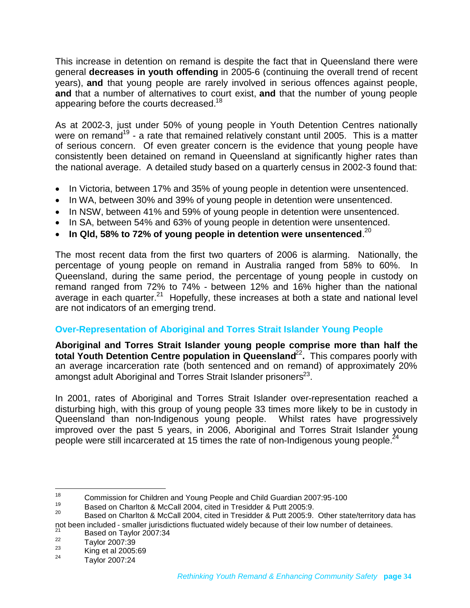This increase in detention on remand is despite the fact that in Queensland there were general **decreases in youth offending** in 2005-6 (continuing the overall trend of recent years), **and** that young people are rarely involved in serious offences against people, **and** that a number of alternatives to court exist, **and** that the number of young people appearing before the courts decreased.<sup>[18](#page-33-0)</sup>

As at 2002-3, just under 50% of young people in Youth Detention Centres nationally were on remand<sup>[19](#page-33-1)</sup> - a rate that remained relatively constant until 2005. This is a matter of serious concern. Of even greater concern is the evidence that young people have consistently been detained on remand in Queensland at significantly higher rates than the national average. A detailed study based on a quarterly census in 2002-3 found that:

- In Victoria, between 17% and 35% of young people in detention were unsentenced.
- In WA, between 30% and 39% of young people in detention were unsentenced.
- In NSW, between 41% and 59% of young people in detention were unsentenced.
- In SA, between 54% and 63% of young people in detention were unsentenced.
- $\bullet$  In Qld, 58% to 72% of young people in detention were unsentenced.<sup>[20](#page-33-2)</sup>

The most recent data from the first two quarters of 2006 is alarming. Nationally, the percentage of young people on remand in Australia ranged from 58% to 60%. In Queensland, during the same period, the percentage of young people in custody on remand ranged from 72% to 74% - between 12% and 16% higher than the national average in each quarter.[21](#page-33-3) Hopefully, these increases at both a state and national level are not indicators of an emerging trend.

### **Over-Representation of Aboriginal and Torres Strait Islander Young People**

**Aboriginal and Torres Strait Islander young people comprise more than half the total Youth Detention Centre population in Queensland<sup>[22](#page-33-4)</sup>. This compares poorly with** an average incarceration rate (both sentenced and on remand) of approximately 20% amongst adult Aboriginal and Torres Strait Islander prisoners<sup>[23](#page-33-5)</sup>.

In 2001, rates of Aboriginal and Torres Strait Islander over-representation reached a disturbing high, with this group of young people 33 times more likely to be in custody in Queensland than non-Indigenous young people. Whilst rates have progressively improved over the past 5 years, in 2006, Aboriginal and Torres Strait Islander young people were still incarcerated at 15 times the rate of non-Indigenous young people.<sup>[24](#page-33-6)</sup>

<span id="page-33-1"></span><span id="page-33-0"></span><sup>&</sup>lt;sup>18</sup> Commission for Children and Young People and Child Guardian 2007:95-100<br><sup>19</sup> People's Charlton & McCall 2004, aited in Tracidder & Butt 2005:0

<span id="page-33-2"></span><sup>&</sup>lt;sup>19</sup> Based on Charlton & McCall 2004, cited in Tresidder & Putt 2005:9.<br><sup>20</sup> Based an Charlton & McCall 2004, sited in Tresidder & Butt 2005:0.

Based on Charlton & McCall 2004, cited in Tresidder & Putt 2005:9. Other state/territory data has not been included - smaller jurisdictions fluctuated widely because of their low number of detainees.

<span id="page-33-3"></span> $\frac{21}{22}$  Based on Taylor 2007:34

<span id="page-33-4"></span> $\frac{22}{23}$  Taylor 2007:39

<span id="page-33-6"></span><span id="page-33-5"></span> $\frac{23}{24}$  King et al 2005:69

<sup>24</sup> Taylor 2007:24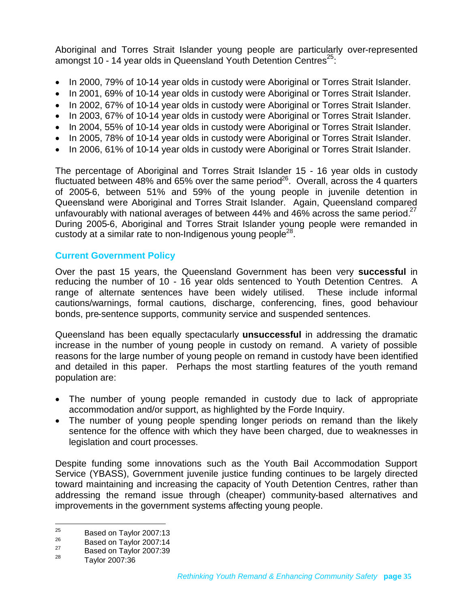Aboriginal and Torres Strait Islander young people are particularly over-represented amongst 10 - 14 year olds in Queensland Youth Detention Centres<sup>[25](#page-34-0)</sup>:

- In 2000, 79% of 10-14 year olds in custody were Aboriginal or Torres Strait Islander.
- In 2001, 69% of 10-14 year olds in custody were Aboriginal or Torres Strait Islander.
- In 2002, 67% of 10-14 year olds in custody were Aboriginal or Torres Strait Islander.
- In 2003, 67% of 10-14 year olds in custody were Aboriginal or Torres Strait Islander.
- In 2004, 55% of 10-14 year olds in custody were Aboriginal or Torres Strait Islander.
- In 2005, 78% of 10-14 year olds in custody were Aboriginal or Torres Strait Islander.
- In 2006, 61% of 10-14 year olds in custody were Aboriginal or Torres Strait Islander.

The percentage of Aboriginal and Torres Strait Islander 15 - 16 year olds in custody fluctuated between 48% and 65% over the same period<sup>[26](#page-34-1)</sup>. Overall, across the 4 quarters of 2005-6, between 51% and 59% of the young people in juvenile detention in Queensland were Aboriginal and Torres Strait Islander. Again, Queensland compared unfavourably with national averages of between 44% and 46% across the same period.<sup>[27](#page-34-2)</sup> During 2005-6, Aboriginal and Torres Strait Islander young people were remanded in custody at a similar rate to non-Indigenous young people<sup>[28](#page-34-3)</sup>.

### **Current Government Policy**

Over the past 15 years, the Queensland Government has been very **successful** in reducing the number of 10 - 16 year olds sentenced to Youth Detention Centres. A range of alternate sentences have been widely utilised. These include informal cautions/warnings, formal cautions, discharge, conferencing, fines, good behaviour bonds, pre-sentence supports, community service and suspended sentences.

Queensland has been equally spectacularly **unsuccessful** in addressing the dramatic increase in the number of young people in custody on remand. A variety of possible reasons for the large number of young people on remand in custody have been identified and detailed in this paper. Perhaps the most startling features of the youth remand population are:

- The number of young people remanded in custody due to lack of appropriate accommodation and/or support, as highlighted by the Forde Inquiry.
- The number of young people spending longer periods on remand than the likely sentence for the offence with which they have been charged, due to weaknesses in legislation and court processes.

Despite funding some innovations such as the Youth Bail Accommodation Support Service (YBASS), Government juvenile justice funding continues to be largely directed toward maintaining and increasing the capacity of Youth Detention Centres, rather than addressing the remand issue through (cheaper) community-based alternatives and improvements in the government systems affecting young people.

<span id="page-34-0"></span> $\frac{25}{26}$  Based on Taylor 2007:13

<span id="page-34-1"></span> $^{26}$  Based on Taylor 2007:14

<span id="page-34-3"></span><span id="page-34-2"></span> $\frac{27}{28}$  Based on Taylor 2007:39

<sup>28</sup> Taylor 2007:36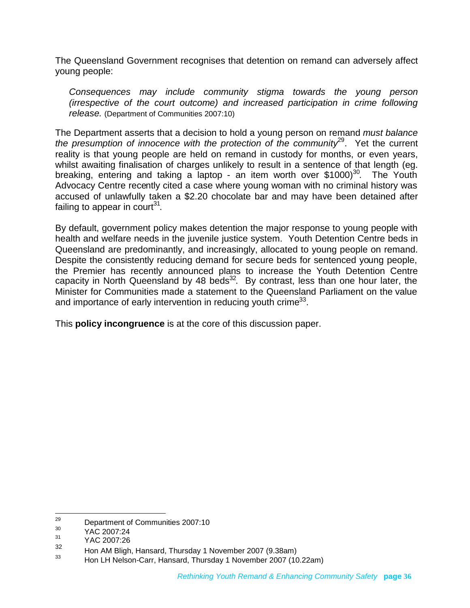The Queensland Government recognises that detention on remand can adversely affect young people:

*Consequences may include community stigma towards the young person (irrespective of the court outcome) and increased participation in crime following release.* (Department of Communities 2007:10)

The Department asserts that a decision to hold a young person on remand *must balance the presumption of innocence with the protection of the community*<sup>[29](#page-35-0)</sup>. Yet the current reality is that young people are held on remand in custody for months, or even years, whilst awaiting finalisation of charges unlikely to result in a sentence of that length (eg. breaking, entering and taking a laptop - an item worth over  $$1000$ <sup>[30](#page-35-1)</sup>. The Youth Advocacy Centre recently cited a case where young woman with no criminal history was accused of unlawfully taken a \$2.20 chocolate bar and may have been detained after failing to appear in court $^{31}$  $^{31}$  $^{31}$ .

By default, government policy makes detention the major response to young people with health and welfare needs in the juvenile justice system. Youth Detention Centre beds in Queensland are predominantly, and increasingly, allocated to young people on remand. Despite the consistently reducing demand for secure beds for sentenced young people, the Premier has recently announced plans to increase the Youth Detention Centre capacity in North Queensland by 48 beds<sup>[32](#page-35-3)</sup>. By contrast, less than one hour later, the Minister for Communities made a statement to the Queensland Parliament on the value and importance of early intervention in reducing youth crime<sup>[33](#page-35-4)</sup>.

This **policy incongruence** is at the core of this discussion paper.

<span id="page-35-0"></span><sup>&</sup>lt;sup>29</sup> Department of Communities 2007:10

<span id="page-35-2"></span><span id="page-35-1"></span> $^{30}$  YAC 2007:24

<span id="page-35-3"></span> $\frac{31}{32}$  YAC 2007:26

 $\frac{32}{33}$  Hon AM Bligh, Hansard, Thursday 1 November 2007 (9.38am)

<span id="page-35-4"></span><sup>33</sup> Hon LH Nelson-Carr, Hansard, Thursday 1 November 2007 (10.22am)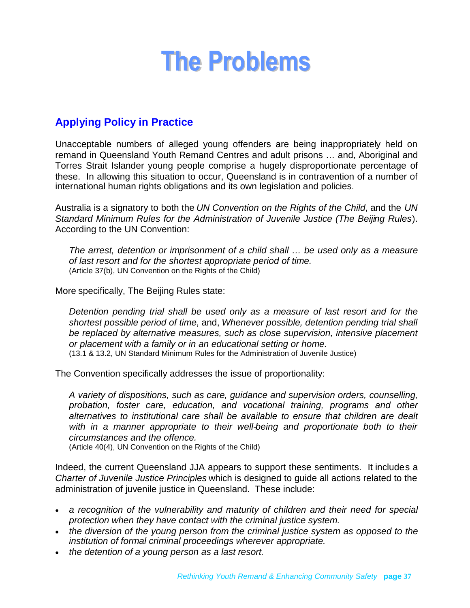# <span id="page-36-0"></span>**The Problems**

# <span id="page-36-1"></span>**Applying Policy in Practice**

Unacceptable numbers of alleged young offenders are being inappropriately held on remand in Queensland Youth Remand Centres and adult prisons … and, Aboriginal and Torres Strait Islander young people comprise a hugely disproportionate percentage of these. In allowing this situation to occur, Queensland is in contravention of a number of international human rights obligations and its own legislation and policies.

Australia is a signatory to both the *UN Convention on the Rights of the Child*, and the *UN Standard Minimum Rules for the Administration of Juvenile Justice (The Beijing Rules*). According to the UN Convention:

*The arrest, detention or imprisonment of a child shall … be used only as a measure of last resort and for the shortest appropriate period of time.* (Article 37(b), UN Convention on the Rights of the Child)

More specifically, The Beijing Rules state:

*Detention pending trial shall be used only as a measure of last resort and for the shortest possible period of time*, and, *Whenever possible, detention pending trial shall be replaced by alternative measures, such as close supervision, intensive placement or placement with a family or in an educational setting or home.* (13.1 & 13.2, UN Standard Minimum Rules for the Administration of Juvenile Justice)

The Convention specifically addresses the issue of proportionality:

*A variety of dispositions, such as care, guidance and supervision orders, counselling, probation, foster care, education, and vocational training, programs and other alternatives to institutional care shall be available to ensure that children are dealt with in a manner appropriate to their well-being and proportionate both to their circumstances and the offence.*

(Article 40(4), UN Convention on the Rights of the Child)

Indeed, the current Queensland JJA appears to support these sentiments. It includes a *Charter of Juvenile Justice Principles* which is designed to guide all actions related to the administration of juvenile justice in Queensland. These include:

- *a recognition of the vulnerability and maturity of children and their need for special protection when they have contact with the criminal justice system.*
- *the diversion of the young person from the criminal justice system as opposed to the institution of formal criminal proceedings wherever appropriate.*
- *the detention of a young person as a last resort.*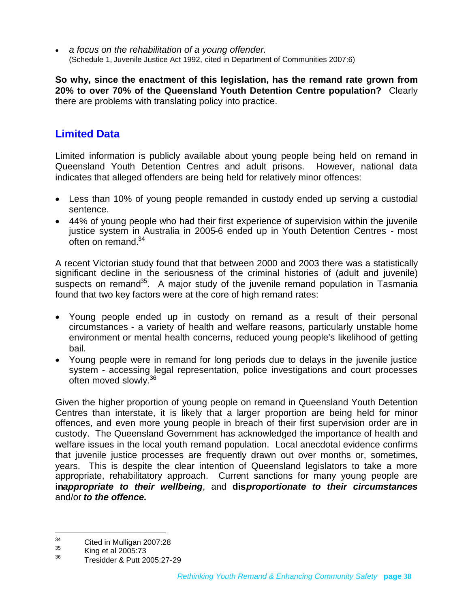*a focus on the rehabilitation of a young offender.* (Schedule 1, Juvenile Justice Act 1992, cited in Department of Communities 2007:6)

**So why, since the enactment of this legislation, has the remand rate grown from 20% to over 70% of the Queensland Youth Detention Centre population?** Clearly there are problems with translating policy into practice.

# <span id="page-37-0"></span>**Limited Data**

Limited information is publicly available about young people being held on remand in Queensland Youth Detention Centres and adult prisons. However, national data indicates that alleged offenders are being held for relatively minor offences:

- Less than 10% of young people remanded in custody ended up serving a custodial sentence.
- 44% of young people who had their first experience of supervision within the juvenile justice system in Australia in 2005-6 ended up in Youth Detention Centres - most often on remand.[34](#page-37-1)

A recent Victorian study found that that between 2000 and 2003 there was a statistically significant decline in the seriousness of the criminal histories of (adult and juvenile) suspects on remand<sup>[35](#page-37-2)</sup>. A major study of the juvenile remand population in Tasmania found that two key factors were at the core of high remand rates:

- Young people ended up in custody on remand as a result of their personal circumstances - a variety of health and welfare reasons, particularly unstable home environment or mental health concerns, reduced young people's likelihood of getting bail.
- Young people were in remand for long periods due to delays in the juvenile justice system - accessing legal representation, police investigations and court processes often moved slowly.<sup>[36](#page-37-3)</sup>

Given the higher proportion of young people on remand in Queensland Youth Detention Centres than interstate, it is likely that a larger proportion are being held for minor offences, and even more young people in breach of their first supervision order are in custody. The Queensland Government has acknowledged the importance of health and welfare issues in the local youth remand population. Local anecdotal evidence confirms that juvenile justice processes are frequently drawn out over months or, sometimes, years. This is despite the clear intention of Queensland legislators to take a more appropriate, rehabilitatory approach. Current sanctions for many young people are **in***appropriate to their wellbeing*, and **dis***proportionate to their circumstances* and/or *to the offence.*

<span id="page-37-1"></span> $\frac{34}{35}$  Cited in Mulligan 2007:28

<span id="page-37-3"></span><span id="page-37-2"></span> $\frac{35}{36}$  King et al 2005:73

<sup>36</sup> Tresidder & Putt 2005:27-29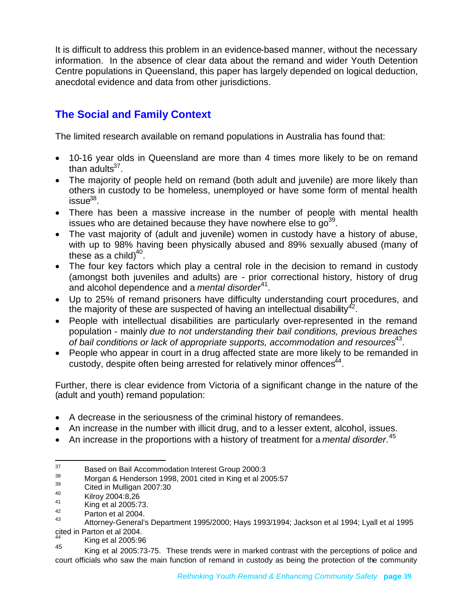It is difficult to address this problem in an evidence-based manner, without the necessary information. In the absence of clear data about the remand and wider Youth Detention Centre populations in Queensland, this paper has largely depended on logical deduction, anecdotal evidence and data from other jurisdictions.

# <span id="page-38-0"></span>**The Social and Family Context**

The limited research available on remand populations in Australia has found that:

- 10-16 year olds in Queensland are more than 4 times more likely to be on remand than adults<sup>[37](#page-38-1)</sup>.
- The majority of people held on remand (both adult and juvenile) are more likely than others in custody to be homeless, unemployed or have some form of mental health issue $^{38}$  $^{38}$  $^{38}$ .
- There has been a massive increase in the number of people with mental health issueswh[o](#page-38-3) are detained because they have nowhere else to  $g_0^{39}$ .
- The vast majority of (adult and juvenile) women in custody have a history of abuse, with up to 98% having been physically abused and 89% sexually abused (many of these as a child) $40$ .
- The four key factors which play a central role in the decision to remand in custody (amongst both juveniles and adults) are - prior correctional history, history of drug and alcohol dependence and a *mental disorder*<sup>[41](#page-38-5)</sup>.
- Up to 25% of remand prisoners have difficulty understanding court procedures, and the majority of these are suspected of having an intellectual disability<sup>[42](#page-38-6)</sup>.
- People with intellectual disabilities are particularly over-represented in the remand population - mainly *due to not understanding their bail conditions, previous breaches* of bail conditions or lack of appropriate supports, accommodation and resources<sup>[43](#page-38-7)</sup>.
- People who appear in court in a drug affected state are more likely to be remanded in custody, despite often being arrested for relatively minor offences $^{44}$  $^{44}$  $^{44}$ .

Further, there is clear evidence from Victoria of a significant change in the nature of the (adult and youth) remand population:

- A decrease in the seriousness of the criminal history of remandees.
- An increase in the number with illicit drug, and to a lesser extent, alcohol, issues.
- An increase in the proportions with a history of treatment for a *mental disorder*.<sup>[45](#page-38-9)</sup>

<span id="page-38-1"></span><sup>&</sup>lt;sup>37</sup> Based on Bail Accommodation Interest Group 2000:3

<span id="page-38-3"></span><span id="page-38-2"></span> $\frac{38}{39}$  Morgan & Henderson 1998, 2001 cited in King et al 2005:57

<span id="page-38-4"></span> $39$  Cited in Mulligan 2007:30

<span id="page-38-5"></span> $^{40}$  Kilroy 2004:8,26

<span id="page-38-6"></span> $^{41}$  King et al 2005:73.

<span id="page-38-7"></span> $\frac{42}{43}$  Parton et al 2004.

<sup>43</sup> Attorney-General's Department 1995/2000; Hays 1993/1994; Jackson et al 1994; Lyall et al 1995 cited in Parton et al 2004.

<span id="page-38-9"></span><span id="page-38-8"></span> $^{44}$  King et al 2005:96

King et al 2005:73-75. These trends were in marked contrast with the perceptions of police and court officials who saw the main function of remand in custody as being the protection of the community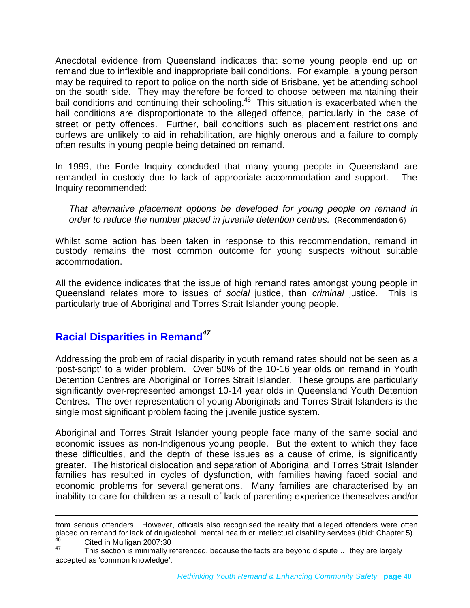Anecdotal evidence from Queensland indicates that some young people end up on remand due to inflexible and inappropriate bail conditions. For example, a young person may be required to report to police on the north side of Brisbane, yet be attending school on the south side. They may therefore be forced to choose between maintaining their bail conditions and continuing their schooling.<sup>[46](#page-39-1)</sup> This situation is exacerbated when the bail conditions are disproportionate to the alleged offence, particularly in the case of street or petty offences. Further, bail conditions such as placement restrictions and curfews are unlikely to aid in rehabilitation, are highly onerous and a failure to comply often results in young people being detained on remand.

In 1999, the Forde Inquiry concluded that many young people in Queensland are remanded in custody due to lack of appropriate accommodation and support. The Inquiry recommended:

*That alternative placement options be developed for young people on remand in order to reduce the number placed in juvenile detention centres.* (Recommendation 6)

Whilst some action has been taken in response to this recommendation, remand in custody remains the most common outcome for young suspects without suitable accommodation.

All the evidence indicates that the issue of high remand rates amongst young people in Queensland relates more to issues of *social* justice, than *criminal* justice. This is particularly true of Aboriginal and Torres Strait Islander young people.

# <span id="page-39-0"></span>**Racial Disparities in Remand***[47](#page-39-2)*

Addressing the problem of racial disparity in youth remand rates should not be seen as a 'post-script' to a wider problem. Over 50% of the 10-16 year olds on remand in Youth Detention Centres are Aboriginal or Torres Strait Islander. These groups are particularly significantly over-represented amongst 10-14 year olds in Queensland Youth Detention Centres. The over-representation of young Aboriginals and Torres Strait Islanders is the single most significant problem facing the juvenile justice system.

Aboriginal and Torres Strait Islander young people face many of the same social and economic issues as non-Indigenous young people. But the extent to which they face these difficulties, and the depth of these issues as a cause of crime, is significantly greater. The historical dislocation and separation of Aboriginal and Torres Strait Islander families has resulted in cycles of dysfunction, with families having faced social and economic problems for several generations. Many families are characterised by an inability to care for children as a result of lack of parenting experience themselves and/or

<span id="page-39-1"></span>from serious offenders. However, officials also recognised the reality that alleged offenders were often placed on remand for lack of drug/alcohol, mental health or intellectual disability services (ibid: Chapter 5).  $^{46}$  Cited in Mulligan 2007:30

<span id="page-39-2"></span>This section is minimally referenced, because the facts are beyond dispute ... they are largely accepted as 'common knowledge'.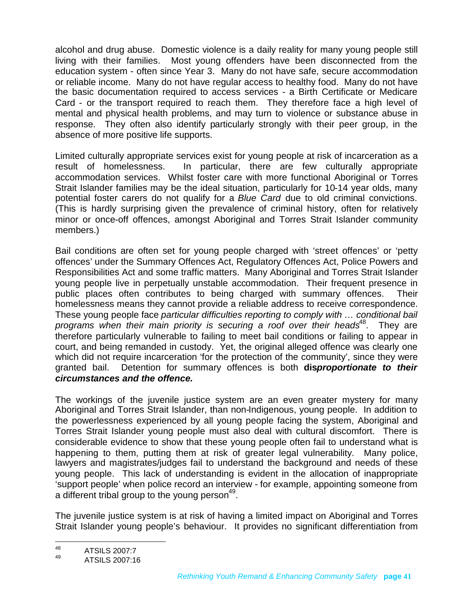alcohol and drug abuse. Domestic violence is a daily reality for many young people still living with their families. Most young offenders have been disconnected from the education system - often since Year 3. Many do not have safe, secure accommodation or reliable income. Many do not have regular access to healthy food. Many do not have the basic documentation required to access services - a Birth Certificate or Medicare Card - or the transport required to reach them. They therefore face a high level of mental and physical health problems, and may turn to violence or substance abuse in response. They often also identify particularly strongly with their peer group, in the absence of more positive life supports.

Limited culturally appropriate services exist for young people at risk of incarceration as a result of homelessness. In particular, there are few culturally appropriate accommodation services. Whilst foster care with more functional Aboriginal or Torres Strait Islander families may be the ideal situation, particularly for 10-14 year olds, many potential foster carers do not qualify for a *Blue Card* due to old criminal convictions. (This is hardly surprising given the prevalence of criminal history, often for relatively minor or once-off offences, amongst Aboriginal and Torres Strait Islander community members.)

Bail conditions are often set for young people charged with 'street offences' or 'petty offences' under the Summary Offences Act, Regulatory Offences Act, Police Powers and Responsibilities Act and some traffic matters. Many Aboriginal and Torres Strait Islander young people live in perpetually unstable accommodation. Their frequent presence in public places often contributes to being charged with summary offences. Their homelessness means they cannot provide a reliable address to receive correspondence. These young people face *particular difficulties reporting to comply with … conditional bail programs when their main priority is securing a roof over their heads*<sup>[48](#page-40-0)</sup>. They are therefore particularly vulnerable to failing to meet bail conditions or failing to appear in court, and being remanded in custody. Yet, the original alleged offence was clearly one which did not require incarceration 'for the protection of the community', since they were granted bail. Detention for summary offences is both **dis***proportionate to their circumstances and the offence.*

The workings of the juvenile justice system are an even greater mystery for many Aboriginal and Torres Strait Islander, than non-Indigenous, young people. In addition to the powerlessness experienced by all young people facing the system, Aboriginal and Torres Strait Islander young people must also deal with cultural discomfort. There is considerable evidence to show that these young people often fail to understand what is happening to them, putting them at risk of greater legal vulnerability. Many police, lawyers and magistrates/judges fail to understand the background and needs of these young people. This lack of understanding is evident in the allocation of inappropriate 'support people' when police record an interview - for example, appointing someone from a different tribal group to the young person<sup>[49](#page-40-1)</sup>.

The juvenile justice system is at risk of having a limited impact on Aboriginal and Torres Strait Islander young people's behaviour. It provides no significant differentiation from

<span id="page-40-0"></span> $48$  ATSILS 2007:7

<span id="page-40-1"></span><sup>49</sup> ATSILS 2007:16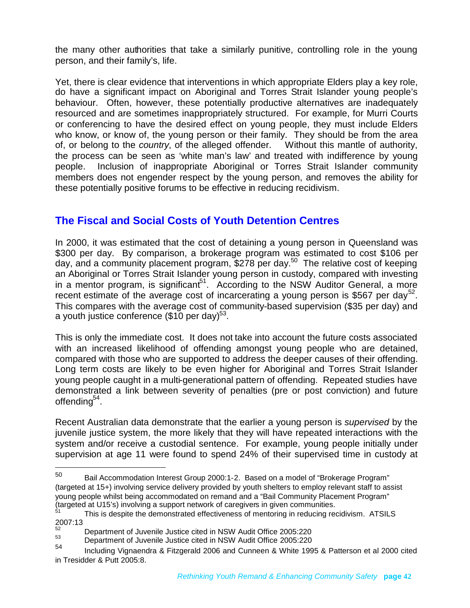the many other authorities that take a similarly punitive, controlling role in the young person, and their family's, life.

Yet, there is clear evidence that interventions in which appropriate Elders play a key role, do have a significant impact on Aboriginal and Torres Strait Islander young people's behaviour. Often, however, these potentially productive alternatives are inadequately resourced and are sometimes inappropriately structured. For example, for Murri Courts or conferencing to have the desired effect on young people, they must include Elders who know, or know of, the young person or their family. They should be from the area of, or belong to the *country*, of the alleged offender. Without this mantle of authority, the process can be seen as 'white man's law' and treated with indifference by young people. Inclusion of inappropriate Aboriginal or Torres Strait Islander community members does not engender respect by the young person, and removes the ability for these potentially positive forums to be effective in reducing recidivism.

# <span id="page-41-0"></span>**The Fiscal and Social Costs of Youth Detention Centres**

In 2000, it was estimated that the cost of detaining a young person in Queensland was \$300 per day. By comparison, a brokerage program was estimated to cost \$106 per day,and a community placement program, \$278 per day.<sup>50</sup> The relative cost of keeping an Aboriginal or Torres Strait Islander young person in custody, compared with investing in a mentor program, is significant<sup>[51](#page-41-2)</sup>. According to the NSW Auditor General, a more recentestimate of the average cost of incarcerating a young person is \$567 per day<sup>52</sup>. This compares with the average cost of community-based supervision (\$35 per day) and ayouth justice conference (\$10 per day[\)](#page-41-4) $^{53}$ .

This is only the immediate cost. It does not take into account the future costs associated with an increased likelihood of offending amongst young people who are detained, compared with those who are supported to address the deeper causes of their offending. Long term costs are likely to be even higher for Aboriginal and Torres Strait Islander young people caught in a multi-generational pattern of offending. Repeated studies have demonstrated a link between severity of penalties (pre or post conviction) and future offending<sup>[54](#page-41-5)</sup>.

Recent Australian data demonstrate that the earlier a young person is *supervised* by the juvenile justice system, the more likely that they will have repeated interactions with the system and/or receive a custodial sentence. For example, young people initially under supervision at age 11 were found to spend 24% of their supervised time in custody at

<span id="page-41-1"></span><sup>50</sup> Bail Accommodation Interest Group 2000:1-2. Based on a model of "Brokerage Program" (targeted at 15+) involving service delivery provided by youth shelters to employ relevant staff to assist young people whilst being accommodated on remand and a "Bail Community Placement Program" (targeted at U15's) involving a support network of caregivers in given communities.

<span id="page-41-2"></span>This is despite the demonstrated effectiveness of mentoring in reducing recidivism. ATSILS 2007:13

<span id="page-41-4"></span><span id="page-41-3"></span> $^{52}$  Department of Juvenile Justice cited in NSW Audit Office 2005:220<br> $^{53}$  Department of Juvenile Justice sited in NSW Audit Office 2005:220

<span id="page-41-5"></span> $^{53}$  Department of Juvenile Justice cited in NSW Audit Office 2005:220

<sup>54</sup> Including Vignaendra & Fitzgerald 2006 and Cunneen & White 1995 & Patterson et al 2000 cited in Tresidder & Putt 2005:8.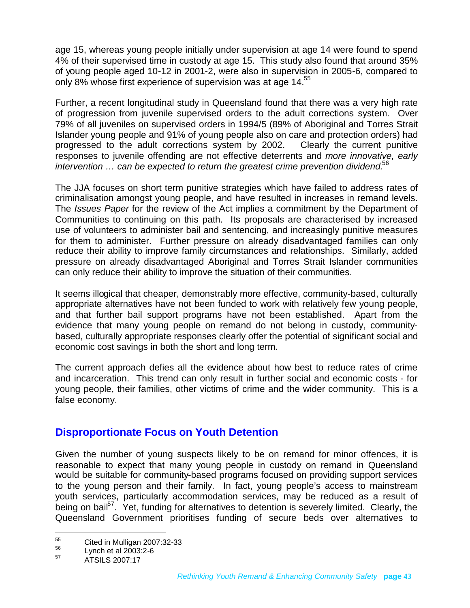age 15, whereas young people initially under supervision at age 14 were found to spend 4% of their supervised time in custody at age 15. This study also found that around 35% of young people aged 10-12 in 2001-2, were also in supervision in 2005-6, compared to only8% whose first experience of supervision was at age 14[.](#page-42-1)<sup>55</sup>

Further, a recent longitudinal study in Queensland found that there was a very high rate of progression from juvenile supervised orders to the adult corrections system. Over 79% of all juveniles on supervised orders in 1994/5 (89% of Aboriginal and Torres Strait Islander young people and 91% of young people also on care and protection orders) had progressed to the adult corrections system by 2002. Clearly the current punitive responses to juvenile offending are not effective deterrents and *more innovative, early intervention … can be expected to return the greatest crime prevention dividend.*[56](#page-42-2)

The JJA focuses on short term punitive strategies which have failed to address rates of criminalisation amongst young people, and have resulted in increases in remand levels. The *Issues Paper* for the review of the Act implies a commitment by the Department of Communities to continuing on this path. Its proposals are characterised by increased use of volunteers to administer bail and sentencing, and increasingly punitive measures for them to administer. Further pressure on already disadvantaged families can only reduce their ability to improve family circumstances and relationships. Similarly, added pressure on already disadvantaged Aboriginal and Torres Strait Islander communities can only reduce their ability to improve the situation of their communities.

It seems illogical that cheaper, demonstrably more effective, community-based, culturally appropriate alternatives have not been funded to work with relatively few young people, and that further bail support programs have not been established. Apart from the evidence that many young people on remand do not belong in custody, communitybased, culturally appropriate responses clearly offer the potential of significant social and economic cost savings in both the short and long term.

The current approach defies all the evidence about how best to reduce rates of crime and incarceration. This trend can only result in further social and economic costs - for young people, their families, other victims of crime and the wider community. This is a false economy.

# <span id="page-42-0"></span>**Disproportionate Focus on Youth Detention**

Given the number of young suspects likely to be on remand for minor offences, it is reasonable to expect that many young people in custody on remand in Queensland would be suitable for community-based programs focused on providing support services to the young person and their family. In fact, young people's access to mainstream youth services, particularly accommodation services, may be reduced as a result of beingon bail<sup>57</sup>. Yet, funding for alternatives to detention is severely limited. Clearly, the Queensland Government prioritises funding of secure beds over alternatives to

<span id="page-42-1"></span><sup>55</sup> Cited in Mulligan 2007:32-33

<span id="page-42-3"></span><span id="page-42-2"></span> $^{56}$  Lynch et al 2003:2-6

<sup>57</sup> ATSILS 2007:17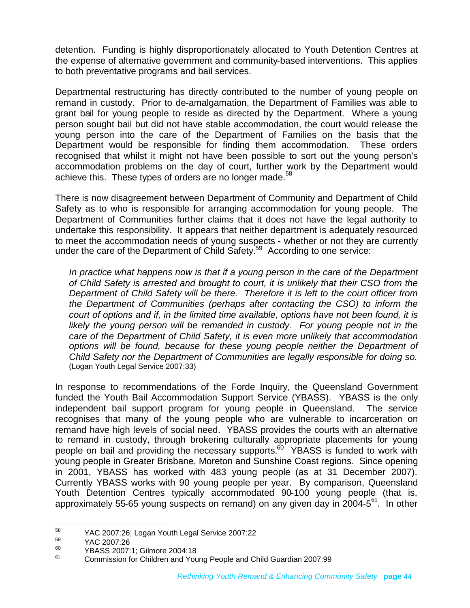detention. Funding is highly disproportionately allocated to Youth Detention Centres at the expense of alternative government and community-based interventions. This applies to both preventative programs and bail services.

Departmental restructuring has directly contributed to the number of young people on remand in custody. Prior to de-amalgamation, the Department of Families was able to grant bail for young people to reside as directed by the Department. Where a young person sought bail but did not have stable accommodation, the court would release the young person into the care of the Department of Families on the basis that the Department would be responsible for finding them accommodation. These orders recognised that whilst it might not have been possible to sort out the young person's accommodation problems on the day of court, further work by the Department would achieve this. These types of orders are no longer made.<sup>[58](#page-43-0)</sup>

There is now disagreement between Department of Community and Department of Child Safety as to who is responsible for arranging accommodation for young people. The Department of Communities further claims that it does not have the legal authority to undertake this responsibility. It appears that neither department is adequately resourced to meet the accommodation needs of young suspects - whether or not they are currently under the care of the Department of Child Safety.<sup>[59](#page-43-1)</sup> According to one service:

*In practice what happens now is that if a young person in the care of the Department of Child Safety is arrested and brought to court, it is unlikely that their CSO from the Department of Child Safety will be there. Therefore it is left to the court officer from the Department of Communities (perhaps after contacting the CSO) to inform the court of options and if, in the limited time available, options have not been found, it is likely the young person will be remanded in custody. For young people not in the care of the Department of Child Safety, it is even more unlikely that accommodation options will be found, because for these young people neither the Department of Child Safety nor the Department of Communities are legally responsible for doing so.* (Logan Youth Legal Service 2007:33)

In response to recommendations of the Forde Inquiry, the Queensland Government funded the Youth Bail Accommodation Support Service (YBASS). YBASS is the only independent bail support program for young people in Queensland. The service recognises that many of the young people who are vulnerable to incarceration on remand have high levels of social need. YBASS provides the courts with an alternative to remand in custody, through brokering culturally appropriate placements for young people on bail and providing the necessary supports.<sup>[60](#page-43-2)</sup> YBASS is funded to work with young people in Greater Brisbane, Moreton and Sunshine Coast regions. Since opening in 2001, YBASS has worked with 483 young people (as at 31 December 2007). Currently YBASS works with 90 young people per year. By comparison, Queensland Youth Detention Centres typically accommodated 90-100 young people (that is, approximately 55-65 young suspects on remand) on any given day in 2004-5<sup>[61](#page-43-3)</sup>. In other

<span id="page-43-1"></span><span id="page-43-0"></span> $^{58}$  YAC 2007:26; Logan Youth Legal Service 2007:22

<span id="page-43-2"></span> $^{59}$  YAC 2007:26

 $^{60}$  YBASS 2007:1; Gilmore 2004:18

<span id="page-43-3"></span><sup>61</sup> Commission for Children and Young People and Child Guardian 2007:99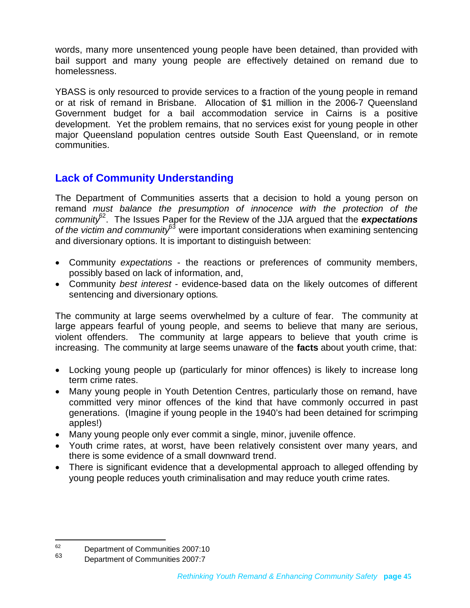words, many more unsentenced young people have been detained, than provided with bail support and many young people are effectively detained on remand due to homelessness.

YBASS is only resourced to provide services to a fraction of the young people in remand or at risk of remand in Brisbane. Allocation of \$1 million in the 2006-7 Queensland Government budget for a bail accommodation service in Cairns is a positive development. Yet the problem remains, that no services exist for young people in other major Queensland population centres outside South East Queensland, or in remote communities.

# <span id="page-44-0"></span>**Lack of Community Understanding**

The Department of Communities asserts that a decision to hold a young person on remand *must balance the presumption of innocence with the protection of the community*[62](#page-44-1) . The Issues Paper for the Review of the JJA argued that the *expectations of the victim and community*[63](#page-44-2) were important considerations when examining sentencing and diversionary options. It is important to distinguish between:

- Community *expectations* the reactions or preferences of community members, possibly based on lack of information, and,
- Community *best interest* evidence-based data on the likely outcomes of different sentencing and diversionary options.

The community at large seems overwhelmed by a culture of fear. The community at large appears fearful of young people, and seems to believe that many are serious, violent offenders. The community at large appears to believe that youth crime is increasing. The community at large seems unaware of the **facts** about youth crime, that:

- Locking young people up (particularly for minor offences) is likely to increase long term crime rates.
- Many young people in Youth Detention Centres, particularly those on remand, have committed very minor offences of the kind that have commonly occurred in past generations. (Imagine if young people in the 1940's had been detained for scrimping apples!)
- Many young people only ever commit a single, minor, juvenile offence.
- Youth crime rates, at worst, have been relatively consistent over many years, and there is some evidence of a small downward trend.
- There is significant evidence that a developmental approach to alleged offending by young people reduces youth criminalisation and may reduce youth crime rates.

<span id="page-44-1"></span> $^{62}$  Department of Communities 2007:10

<span id="page-44-2"></span><sup>63</sup> Department of Communities 2007:7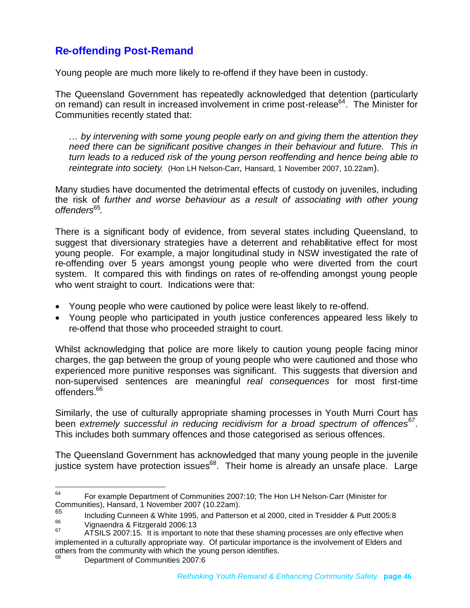# <span id="page-45-0"></span>**Re-offending Post-Remand**

Young people are much more likely to re-offend if they have been in custody.

The Queensland Government has repeatedly acknowledged that detention (particularly on remand) can result in increased involvement in crime post-release<sup>[64](#page-45-1)</sup>. The Minister for Communities recently stated that:

*… by intervening with some young people early on and giving them the attention they need there can be significant positive changes in their behaviour and future. This in turn leads to a reduced risk of the young person reoffending and hence being able to reintegrate into society.* (Hon LH Nelson-Carr, Hansard, 1 November 2007, 10.22am).

Many studies have documented the detrimental effects of custody on juveniles, including the risk of *further and worse behaviour as a result of associating with other young offenders*[65](#page-45-2) .

There is a significant body of evidence, from several states including Queensland, to suggest that diversionary strategies have a deterrent and rehabilitative effect for most young people. For example, a major longitudinal study in NSW investigated the rate of re-offending over 5 years amongst young people who were diverted from the court system. It compared this with findings on rates of re-offending amongst young people who went straight to court. Indications were that:

- Young people who were cautioned by police were least likely to re-offend.
- Young people who participated in youth justice conferences appeared less likely to re-offend that those who proceeded straight to court.

Whilst acknowledging that police are more likely to caution young people facing minor charges, the gap between the group of young people who were cautioned and those who experienced more punitive responses was significant. This suggests that diversion and non-supervised sentences are meaningful *real consequences* for most first-time offenders.<sup>[66](#page-45-3)</sup>

Similarly, the use of culturally appropriate shaming processes in Youth Murri Court has been *extremely successful in reducing recidivism for a broad spectrum of offences[67](#page-45-4)* . This includes both summary offences and those categorised as serious offences.

The Queensland Government has acknowledged that many young people in the juvenile justice system have protection issues $68$ . Their home is already an unsafe place. Large

<span id="page-45-5"></span><sup>68</sup> Department of Communities 2007:6

<span id="page-45-1"></span><sup>&</sup>lt;sup>64</sup> For example Department of Communities 2007:10; The Hon LH Nelson-Carr (Minister for Communities), Hansard, 1 November 2007 (10.22am).

<span id="page-45-3"></span><span id="page-45-2"></span><sup>&</sup>lt;sup>65</sup> Including Cunneen & White 1995, and Patterson et al 2000, cited in Tresidder & Putt 2005:8

<span id="page-45-4"></span> $^{66}$  Vignaendra & Fitzgerald 2006:13

ATSILS 2007:15. It is important to note that these shaming processes are only effective when implemented in a culturally appropriate way. Of particular importance is the involvement of Elders and others from the community with which the young person identifies.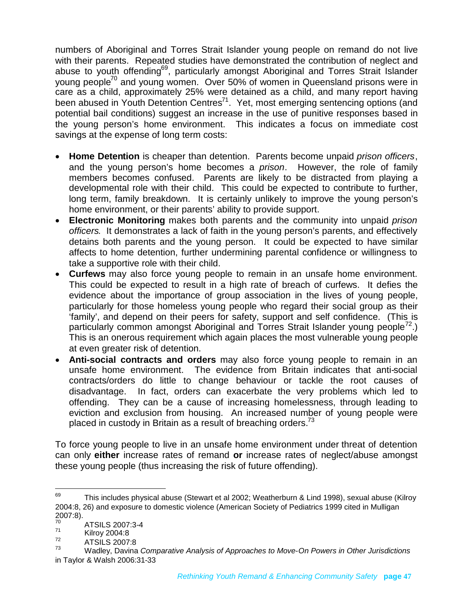numbers of Aboriginal and Torres Strait Islander young people on remand do not live with their parents. Repeated studies have demonstrated the contribution of neglect and abuse to youth offending<sup>[69](#page-46-0)</sup>, particularly amongst Aboriginal and Torres Strait Islander young people[70](#page-46-1) and young women. Over 50% of women in Queensland prisons were in care as a child, approximately 25% were detained as a child, and many report having been abused in Youth Detention Centres<sup>[71](#page-46-2)</sup>. Yet, most emerging sentencing options (and potential bail conditions) suggest an increase in the use of punitive responses based in the young person's home environment. This indicates a focus on immediate cost savings at the expense of long term costs:

- **Home Detention** is cheaper than detention. Parents become unpaid *prison officers*, and the young person's home becomes a *prison*. However, the role of family members becomes confused. Parents are likely to be distracted from playing a developmental role with their child. This could be expected to contribute to further, long term, family breakdown. It is certainly unlikely to improve the young person's home environment, or their parents' ability to provide support.
- **Electronic Monitoring** makes both parents and the community into unpaid *prison officers*. It demonstrates a lack of faith in the young person's parents, and effectively detains both parents and the young person. It could be expected to have similar affects to home detention, further undermining parental confidence or willingness to take a supportive role with their child.
- **Curfews** may also force young people to remain in an unsafe home environment. This could be expected to result in a high rate of breach of curfews. It defies the evidence about the importance of group association in the lives of young people, particularly for those homeless young people who regard their social group as their 'family', and depend on their peers for safety, support and self confidence. (This is particularly common amongst Aboriginal and Torres Strait Islander young people<sup> $2$ </sup>.) This is an onerous requirement which again places the most vulnerable young people at even greater risk of detention.
- **Anti-social contracts and orders** may also force young people to remain in an unsafe home environment. The evidence from Britain indicates that anti-social contracts/orders do little to change behaviour or tackle the root causes of disadvantage. In fact, orders can exacerbate the very problems which led to offending. They can be a cause of increasing homelessness, through leading to eviction and exclusion from housing. An increased number of young people were placed in custody in Britain as a result of breaching orders. $73$

To force young people to live in an unsafe home environment under threat of detention can only **either** increase rates of remand **or** increase rates of neglect/abuse amongst these young people (thus increasing the risk of future offending).

<span id="page-46-0"></span> $69$  This includes physical abuse (Stewart et al 2002; Weatherburn & Lind 1998), sexual abuse (Kilroy 2004:8, 26) and exposure to domestic violence (American Society of Pediatrics 1999 cited in Mulligan 2007:8).

<span id="page-46-2"></span><span id="page-46-1"></span> $^{70}$  ATSILS 2007:3-4

<span id="page-46-3"></span> $\frac{71}{72}$  Kilroy 2004:8

<span id="page-46-4"></span> $^{72}_{73}$  ATSILS 2007:8

<sup>73</sup> Wadley, Davina *Comparative Analysis of Approaches to Move-On Powers in Other Jurisdictions* in Taylor & Walsh 2006:31-33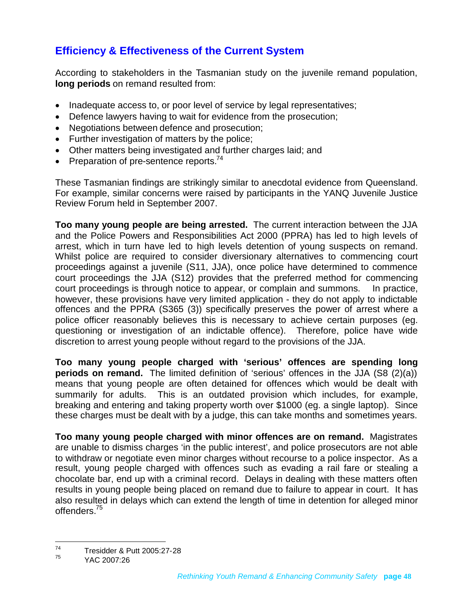# <span id="page-47-0"></span>**Efficiency & Effectiveness of the Current System**

According to stakeholders in the Tasmanian study on the juvenile remand population, **long periods** on remand resulted from:

- Inadequate access to, or poor level of service by legal representatives;
- Defence lawyers having to wait for evidence from the prosecution;
- Negotiations between defence and prosecution;
- Further investigation of matters by the police;
- Other matters being investigated and further charges laid; and
- Preparation of pre-sentence reports.<sup>[74](#page-47-1)</sup>

These Tasmanian findings are strikingly similar to anecdotal evidence from Queensland. For example, similar concerns were raised by participants in the YANQ Juvenile Justice Review Forum held in September 2007.

**Too many young people are being arrested.** The current interaction between the JJA and the Police Powers and Responsibilities Act 2000 (PPRA) has led to high levels of arrest, which in turn have led to high levels detention of young suspects on remand. Whilst police are required to consider diversionary alternatives to commencing court proceedings against a juvenile (S11, JJA), once police have determined to commence court proceedings the JJA (S12) provides that the preferred method for commencing court proceedings is through notice to appear, or complain and summons. In practice, however, these provisions have very limited application - they do not apply to indictable offences and the PPRA (S365 (3)) specifically preserves the power of arrest where a police officer reasonably believes this is necessary to achieve certain purposes (eg. questioning or investigation of an indictable offence). Therefore, police have wide discretion to arrest young people without regard to the provisions of the JJA.

**Too many young people charged with 'serious' offences are spending long periods on remand.** The limited definition of 'serious' offences in the JJA (S8 (2)(a)) means that young people are often detained for offences which would be dealt with summarily for adults. This is an outdated provision which includes, for example, breaking and entering and taking property worth over \$1000 (eg. a single laptop). Since these charges must be dealt with by a judge, this can take months and sometimes years.

**Too many young people charged with minor offences are on remand.** Magistrates are unable to dismiss charges 'in the public interest', and police prosecutors are not able to withdraw or negotiate even minor charges without recourse to a police inspector. As a result, young people charged with offences such as evading a rail fare or stealing a chocolate bar, end up with a criminal record. Delays in dealing with these matters often results in young people being placed on remand due to failure to appear in court. It has also resulted in delays which can extend the length of time in detention for alleged minor offenders.[75](#page-47-2)

<span id="page-47-1"></span> $74$  Tresidder & Putt 2005:27-28

<span id="page-47-2"></span>YAC 2007:26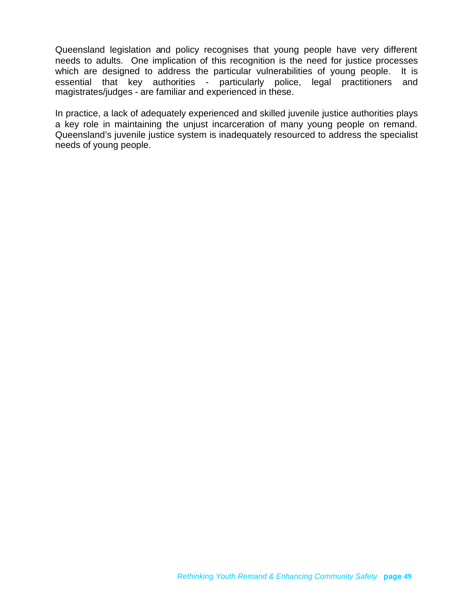Queensland legislation and policy recognises that young people have very different needs to adults. One implication of this recognition is the need for justice processes which are designed to address the particular vulnerabilities of young people. It is essential that key authorities - particularly police, legal practitioners and magistrates/judges - are familiar and experienced in these.

In practice, a lack of adequately experienced and skilled juvenile justice authorities plays a key role in maintaining the unjust incarceration of many young people on remand. Queensland's juvenile justice system is inadequately resourced to address the specialist needs of young people.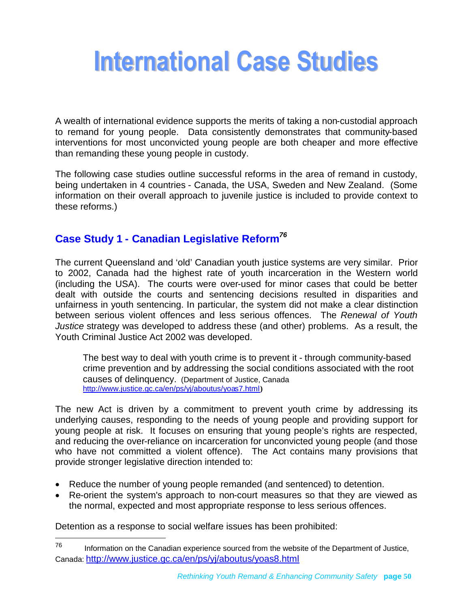# <span id="page-49-0"></span>**International Case Studies**

A wealth of international evidence supports the merits of taking a non-custodial approach to remand for young people. Data consistently demonstrates that community-based interventions for most unconvicted young people are both cheaper and more effective than remanding these young people in custody.

The following case studies outline successful reforms in the area of remand in custody, being undertaken in 4 countries - Canada, the USA, Sweden and New Zealand. (Some information on their overall approach to juvenile justice is included to provide context to these reforms.)

# <span id="page-49-1"></span>**Case Study 1 - Canadian Legislative Reform***[76](#page-49-2)*

The current Queensland and 'old' Canadian youth justice systems are very similar. Prior to 2002, Canada had the highest rate of youth incarceration in the Western world (including the USA). The courts were over-used for minor cases that could be better dealt with outside the courts and sentencing decisions resulted in disparities and unfairness in youth sentencing. In particular, the system did not make a clear distinction between serious violent offences and less serious offences. The *Renewal of Youth Justice* strategy was developed to address these (and other) problems. As a result, the Youth Criminal Justice Act 2002 was developed.

The best way to deal with youth crime is to prevent it - through community-based crime prevention and by addressing the social conditions associated with the root causes of delinquency. (Department of Justice, Canada <http://www.justice.gc.ca/en/ps/yj/aboutus/yoas7.html>**)**

The new Act is driven by a commitment to prevent youth crime by addressing its underlying causes, responding to the needs of young people and providing support for young people at risk. It focuses on ensuring that young people's rights are respected, and reducing the over-reliance on incarceration for unconvicted young people (and those who have not committed a violent offence). The Act contains many provisions that provide stronger legislative direction intended to:

- Reduce the number of young people remanded (and sentenced) to detention.
- Re-orient the system's approach to non-court measures so that they are viewed as the normal, expected and most appropriate response to less serious offences.

Detention as a response to social welfare issues has been prohibited:

<span id="page-49-2"></span> $76$  Information on the Canadian experience sourced from the website of the Department of Justice, Canada: http://www.justice.gc.ca/en/ps/yj/aboutus/yoas8.html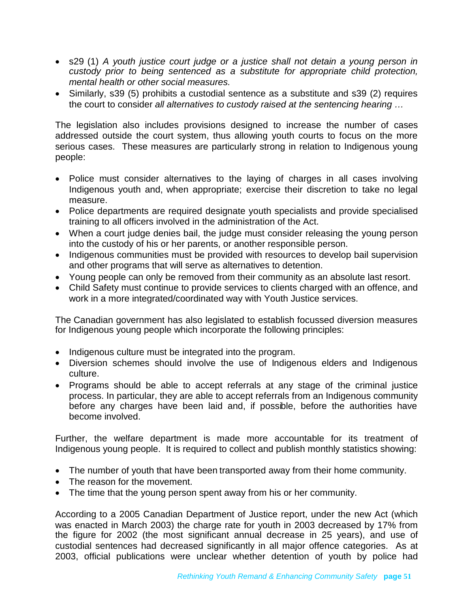- s29 (1) *A youth justice court judge or a justice shall not detain a young person in custody prior to being sentenced as a substitute for appropriate child protection, mental health or other social measures.*
- Similarly, s39 (5) prohibits a custodial sentence as a substitute and s39 (2) requires the court to consider *all alternatives to custody raised at the sentencing hearing …*

The legislation also includes provisions designed to increase the number of cases addressed outside the court system, thus allowing youth courts to focus on the more serious cases. These measures are particularly strong in relation to Indigenous young people:

- Police must consider alternatives to the laying of charges in all cases involving Indigenous youth and, when appropriate; exercise their discretion to take no legal measure.
- Police departments are required designate youth specialists and provide specialised training to all officers involved in the administration of the Act.
- When a court judge denies bail, the judge must consider releasing the young person into the custody of his or her parents, or another responsible person.
- Indigenous communities must be provided with resources to develop bail supervision and other programs that will serve as alternatives to detention.
- Young people can only be removed from their community as an absolute last resort.
- Child Safety must continue to provide services to clients charged with an offence, and work in a more integrated/coordinated way with Youth Justice services.

The Canadian government has also legislated to establish focussed diversion measures for Indigenous young people which incorporate the following principles:

- Indigenous culture must be integrated into the program.
- Diversion schemes should involve the use of Indigenous elders and Indigenous culture.
- Programs should be able to accept referrals at any stage of the criminal justice process. In particular, they are able to accept referrals from an Indigenous community before any charges have been laid and, if possible, before the authorities have become involved.

Further, the welfare department is made more accountable for its treatment of Indigenous young people. It is required to collect and publish monthly statistics showing:

- The number of youth that have been transported away from their home community.
- The reason for the movement.
- The time that the young person spent away from his or her community.

According to a 2005 Canadian Department of Justice report, under the new Act (which was enacted in March 2003) the charge rate for youth in 2003 decreased by 17% from the figure for 2002 (the most significant annual decrease in 25 years), and use of custodial sentences had decreased significantly in all major offence categories. As at 2003, official publications were unclear whether detention of youth by police had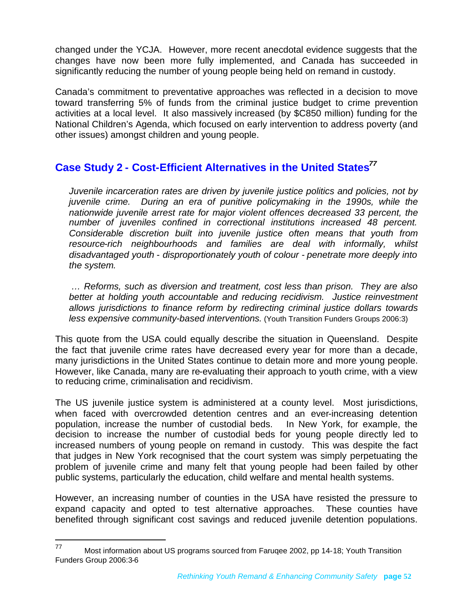changed under the YCJA. However, more recent anecdotal evidence suggests that the changes have now been more fully implemented, and Canada has succeeded in significantly reducing the number of young people being held on remand in custody.

Canada's commitment to preventative approaches was reflected in a decision to move toward transferring 5% of funds from the criminal justice budget to crime prevention activities at a local level. It also massively increased (by \$C850 million) funding for the National Children's Agenda, which focused on early intervention to address poverty (and other issues) amongst children and young people.

# <span id="page-51-0"></span>**Case Study 2 - Cost-Efficient Alternatives in the United States***[77](#page-51-1)*

*Juvenile incarceration rates are driven by juvenile justice politics and policies, not by juvenile crime. During an era of punitive policymaking in the 1990s, while the nationwide juvenile arrest rate for major violent offences decreased 33 percent, the number of juveniles confined in correctional institutions increased 48 percent. Considerable discretion built into juvenile justice often means that youth from resource-rich neighbourhoods and families are deal with informally, whilst disadvantaged youth - disproportionately youth of colour - penetrate more deeply into the system.*

*… Reforms, such as diversion and treatment, cost less than prison. They are also better at holding youth accountable and reducing recidivism. Justice reinvestment allows jurisdictions to finance reform by redirecting criminal justice dollars towards less expensive community-based interventions.* (Youth Transition Funders Groups 2006:3)

This quote from the USA could equally describe the situation in Queensland. Despite the fact that juvenile crime rates have decreased every year for more than a decade, many jurisdictions in the United States continue to detain more and more young people. However, like Canada, many are re-evaluating their approach to youth crime, with a view to reducing crime, criminalisation and recidivism.

The US juvenile justice system is administered at a county level. Most jurisdictions, when faced with overcrowded detention centres and an ever-increasing detention population, increase the number of custodial beds. In New York, for example, the decision to increase the number of custodial beds for young people directly led to increased numbers of young people on remand in custody. This was despite the fact that judges in New York recognised that the court system was simply perpetuating the problem of juvenile crime and many felt that young people had been failed by other public systems, particularly the education, child welfare and mental health systems.

However, an increasing number of counties in the USA have resisted the pressure to expand capacity and opted to test alternative approaches. These counties have benefited through significant cost savings and reduced juvenile detention populations.

<span id="page-51-1"></span><sup>77</sup> Most information about US programs sourced from Farugee 2002, pp 14-18; Youth Transition Funders Group 2006:3-6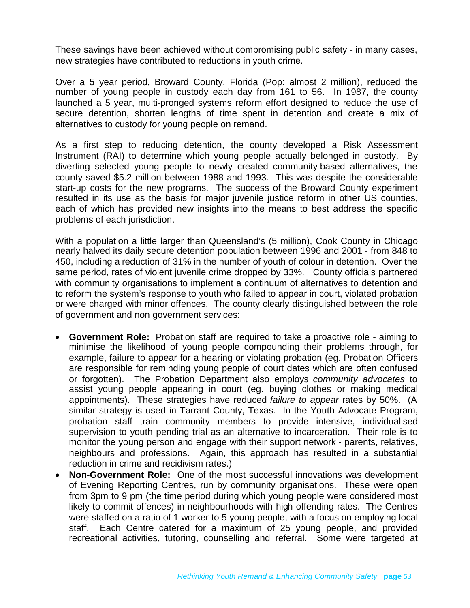These savings have been achieved without compromising public safety - in many cases, new strategies have contributed to reductions in youth crime.

Over a 5 year period, Broward County, Florida (Pop: almost 2 million), reduced the number of young people in custody each day from 161 to 56. In 1987, the county launched a 5 year, multi-pronged systems reform effort designed to reduce the use of secure detention, shorten lengths of time spent in detention and create a mix of alternatives to custody for young people on remand.

As a first step to reducing detention, the county developed a Risk Assessment Instrument (RAI) to determine which young people actually belonged in custody. By diverting selected young people to newly created community-based alternatives, the county saved \$5.2 million between 1988 and 1993. This was despite the considerable start-up costs for the new programs. The success of the Broward County experiment resulted in its use as the basis for major juvenile justice reform in other US counties, each of which has provided new insights into the means to best address the specific problems of each jurisdiction.

With a population a little larger than Queensland's (5 million), Cook County in Chicago nearly halved its daily secure detention population between 1996 and 2001 - from 848 to 450, including a reduction of 31% in the number of youth of colour in detention. Over the same period, rates of violent juvenile crime dropped by 33%. County officials partnered with community organisations to implement a continuum of alternatives to detention and to reform the system's response to youth who failed to appear in court, violated probation or were charged with minor offences. The county clearly distinguished between the role of government and non government services:

- **Government Role:** Probation staff are required to take a proactive role aiming to minimise the likelihood of young people compounding their problems through, for example, failure to appear for a hearing or violating probation (eg. Probation Officers are responsible for reminding young people of court dates which are often confused or forgotten). The Probation Department also employs *community advocates* to assist young people appearing in court (eg. buying clothes or making medical appointments). These strategies have reduced *failure to appear* rates by 50%. (A similar strategy is used in Tarrant County, Texas. In the Youth Advocate Program, probation staff train community members to provide intensive, individualised supervision to youth pending trial as an alternative to incarceration. Their role is to monitor the young person and engage with their support network - parents, relatives, neighbours and professions. Again, this approach has resulted in a substantial reduction in crime and recidivism rates.)
- **Non-Government Role:** One of the most successful innovations was development of Evening Reporting Centres, run by community organisations. These were open from 3pm to 9 pm (the time period during which young people were considered most likely to commit offences) in neighbourhoods with high offending rates. The Centres were staffed on a ratio of 1 worker to 5 young people, with a focus on employing local staff. Each Centre catered for a maximum of 25 young people, and provided recreational activities, tutoring, counselling and referral. Some were targeted at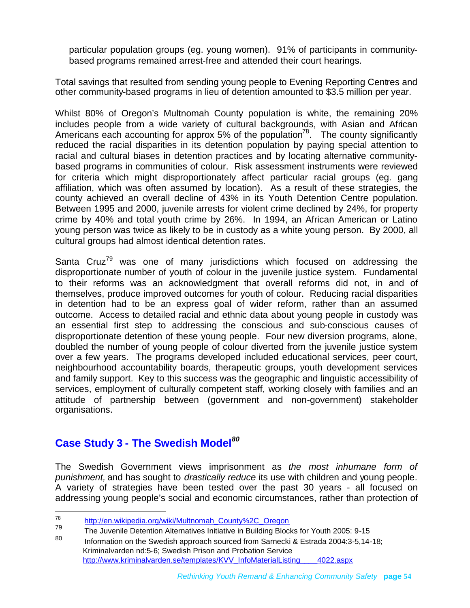particular population groups (eg. young women). 91% of participants in communitybased programs remained arrest-free and attended their court hearings.

Total savings that resulted from sending young people to Evening Reporting Centres and other community-based programs in lieu of detention amounted to \$3.5 million per year.

Whilst 80% of Oregon's Multnomah County population is white, the remaining 20% includes people from a wide variety of cultural backgrounds, with Asian and African Americans each accounting for approx 5% of the population<sup>[78](#page-53-1)</sup>. The county significantly reduced the racial disparities in its detention population by paying special attention to racial and cultural biases in detention practices and by locating alternative communitybased programs in communities of colour. Risk assessment instruments were reviewed for criteria which might disproportionately affect particular racial groups (eg. gang affiliation, which was often assumed by location). As a result of these strategies, the county achieved an overall decline of 43% in its Youth Detention Centre population. Between 1995 and 2000, juvenile arrests for violent crime declined by 24%, for property crime by 40% and total youth crime by 26%. In 1994, an African American or Latino young person was twice as likely to be in custody as a white young person. By 2000, all cultural groups had almost identical detention rates.

Santa Cruz<sup>[79](#page-53-2)</sup> was one of many jurisdictions which focused on addressing the disproportionate number of youth of colour in the juvenile justice system. Fundamental to their reforms was an acknowledgment that overall reforms did not, in and of themselves, produce improved outcomes for youth of colour. Reducing racial disparities in detention had to be an express goal of wider reform, rather than an assumed outcome. Access to detailed racial and ethnic data about young people in custody was an essential first step to addressing the conscious and sub-conscious causes of disproportionate detention of these young people. Four new diversion programs, alone, doubled the number of young people of colour diverted from the juvenile justice system over a few years. The programs developed included educational services, peer court, neighbourhood accountability boards, therapeutic groups, youth development services and family support. Key to this success was the geographic and linguistic accessibility of services, employment of culturally competent staff, working closely with families and an attitude of partnership between (government and non-government) stakeholder organisations.

# <span id="page-53-0"></span>**Case Study 3 - The Swedish Model***[80](#page-53-3)*

The Swedish Government views imprisonment as *the most inhumane form of punishment,* and has sought to *drastically reduce* its use with children and young people*.* A variety of strategies have been tested over the past 30 years - all focused on addressing young people's social and economic circumstances, rather than protection of

<span id="page-53-3"></span>Information on the Swedish approach sourced from Sarnecki & Estrada 2004:3-5.14-18: Kriminalvarden nd:5-6; Swedish Prison and Probation Service http://www.kriminalvarden.se/templates/KVV\_InfoMaterialListing\_\_\_\_4022.aspx

<span id="page-53-2"></span><span id="page-53-1"></span><sup>78</sup> http://en.wikipedia.org/wiki/Multnomah\_County%2C\_Oregon

<sup>&</sup>lt;sup>79</sup> The Juvenile Detention Alternatives Initiative in Building Blocks for Youth 2005: 9-15<br>80 **The Information on the Quadish approach acured from Ramachi 8 Feterda 2004:0 5.44**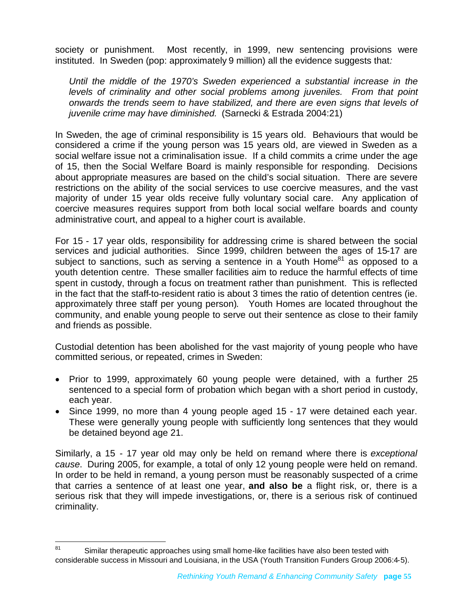society or punishment. Most recently, in 1999, new sentencing provisions were instituted. In Sweden (pop: approximately 9 million) all the evidence suggests that*:*

*Until the middle of the 1970's Sweden experienced a substantial increase in the levels of criminality and other social problems among juveniles. From that point onwards the trends seem to have stabilized, and there are even signs that levels of juvenile crime may have diminished.* (Sarnecki & Estrada 2004:21)

In Sweden, the age of criminal responsibility is 15 years old. Behaviours that would be considered a crime if the young person was 15 years old, are viewed in Sweden as a social welfare issue not a criminalisation issue. If a child commits a crime under the age of 15, then the Social Welfare Board is mainly responsible for responding. Decisions about appropriate measures are based on the child's social situation. There are severe restrictions on the ability of the social services to use coercive measures, and the vast majority of under 15 year olds receive fully voluntary social care. Any application of coercive measures requires support from both local social welfare boards and county administrative court, and appeal to a higher court is available.

For 15 - 17 year olds, responsibility for addressing crime is shared between the social services and judicial authorities. Since 1999, children between the ages of 15-17 are subject to sanctions, such as serving a sentence in a Youth Home $81$  as opposed to a youth detention centre. These smaller facilities aim to reduce the harmful effects of time spent in custody, through a focus on treatment rather than punishment. This is reflected in the fact that the staff-to-resident ratio is about 3 times the ratio of detention centres (ie. approximately three staff per young person). Youth Homes are located throughout the community, and enable young people to serve out their sentence as close to their family and friends as possible.

Custodial detention has been abolished for the vast majority of young people who have committed serious, or repeated, crimes in Sweden:

- Prior to 1999, approximately 60 young people were detained, with a further 25 sentenced to a special form of probation which began with a short period in custody, each year.
- Since 1999, no more than 4 young people aged 15 17 were detained each year. These were generally young people with sufficiently long sentences that they would be detained beyond age 21.

Similarly, a 15 - 17 year old may only be held on remand where there is *exceptional cause*. During 2005, for example, a total of only 12 young people were held on remand. In order to be held in remand, a young person must be reasonably suspected of a crime that carries a sentence of at least one year, **and also be** a flight risk, or, there is a serious risk that they will impede investigations, or, there is a serious risk of continued criminality.

<span id="page-54-0"></span> $81$  Similar therapeutic approaches using small home-like facilities have also been tested with considerable success in Missouri and Louisiana, in the USA (Youth Transition Funders Group 2006:4-5).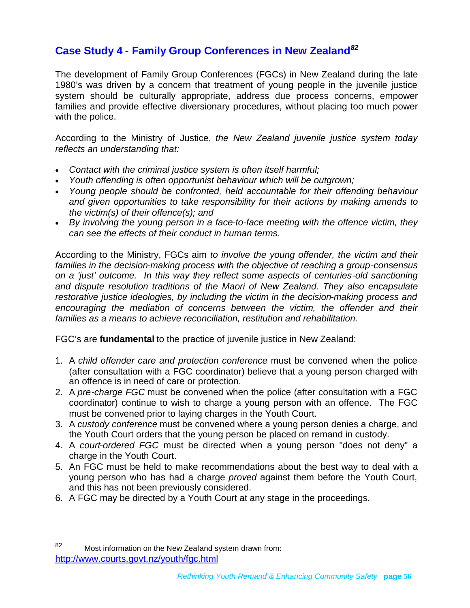# <span id="page-55-0"></span>**Case Study 4 - Family Group Conferences in New Zealand***[82](#page-55-1)*

The development of Family Group Conferences (FGCs) in New Zealand during the late 1980's was driven by a concern that treatment of young people in the juvenile justice system should be culturally appropriate, address due process concerns, empower families and provide effective diversionary procedures, without placing too much power with the police.

According to the Ministry of Justice, *the New Zealand juvenile justice system today reflects an understanding that:*

- *Contact with the criminal justice system is often itself harmful;*
- *Youth offending is often opportunist behaviour which will be outgrown;*
- *Young people should be confronted, held accountable for their offending behaviour and given opportunities to take responsibility for their actions by making amends to the victim(s) of their offence(s); and*
- *By involving the young person in a face-to-face meeting with the offence victim, they can see the effects of their conduct in human terms.*

According to the Ministry, FGCs aim *to involve the young offender, the victim and their families in the decision-making process with the objective of reaching a group-consensus on a 'just' outcome. In this way they reflect some aspects of centuries-old sanctioning and dispute resolution traditions of the Maori of New Zealand. They also encapsulate restorative justice ideologies, by including the victim in the decision-making process and encouraging the mediation of concerns between the victim, the offender and their families as a means to achieve reconciliation, restitution and rehabilitation.*

FGC's are **fundamental** to the practice of juvenile justice in New Zealand:

- 1. A *child offender care and protection conference* must be convened when the police (after consultation with a FGC coordinator) believe that a young person charged with an offence is in need of care or protection.
- 2. A *pre-charge FGC* must be convened when the police (after consultation with a FGC coordinator) continue to wish to charge a young person with an offence. The FGC must be convened prior to laying charges in the Youth Court.
- 3. A *custody conference* must be convened where a young person denies a charge, and the Youth Court orders that the young person be placed on remand in custody.
- 4. A *court-ordered FGC* must be directed when a young person "does not deny" a charge in the Youth Court.
- 5. An FGC must be held to make recommendations about the best way to deal with a young person who has had a charge *proved* against them before the Youth Court, and this has not been previously considered.
- 6. A FGC may be directed by a Youth Court at any stage in the proceedings.

<span id="page-55-1"></span><sup>82</sup> Most information on the New Zealand system drawn from: http://www.courts.govt.nz/youth/fgc.html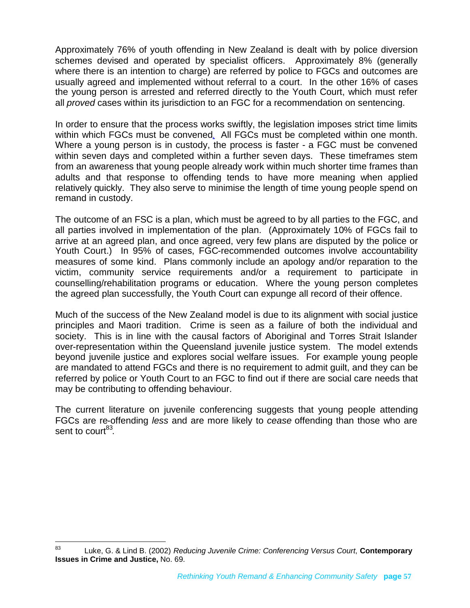Approximately 76% of youth offending in New Zealand is dealt with by police diversion schemes devised and operated by specialist officers. Approximately 8% (generally where there is an intention to charge) are referred by police to FGCs and outcomes are usually agreed and implemented without referral to a court. In the other 16% of cases the young person is arrested and referred directly to the Youth Court, which must refer all *proved* cases within its jurisdiction to an FGC for a recommendation on sentencing.

In order to ensure that the process works swiftly, the legislation imposes strict time limits within which FGCs must be convened[.](http://www.courts.govt.nz/youth/fgc.html#footnotes%23footnotes) All FGCs must be completed within one month. Where a young person is in custody, the process is faster - a FGC must be convened within seven days and completed within a further seven days. These timeframes stem from an awareness that young people already work within much shorter time frames than adults and that response to offending tends to have more meaning when applied relatively quickly. They also serve to minimise the length of time young people spend on remand in custody.

The outcome of an FSC is a plan, which must be agreed to by all parties to the FGC, and all parties involved in implementation of the plan. (Approximately 10% of FGCs fail to arrive at an agreed plan, and once agreed, very few plans are disputed by the police or Youth Court.) In 95% of cases, FGC-recommended outcomes involve accountability measures of some kind. Plans commonly include an apology and/or reparation to the victim, community service requirements and/or a requirement to participate in counselling/rehabilitation programs or education. Where the young person completes the agreed plan successfully, the Youth Court can expunge all record of their offence.

Much of the success of the New Zealand model is due to its alignment with social justice principles and Maori tradition. Crime is seen as a failure of both the individual and society. This is in line with the causal factors of Aboriginal and Torres Strait Islander over-representation within the Queensland juvenile justice system. The model extends beyond juvenile justice and explores social welfare issues. For example young people are mandated to attend FGCs and there is no requirement to admit guilt, and they can be referred by police or Youth Court to an FGC to find out if there are social care needs that may be contributing to offending behaviour.

The current literature on juvenile conferencing suggests that young people attending FGCs are re-offending *less* and are more likely to *cease* offending than those who are sent to court<sup>[83](#page-56-0)</sup>.

<span id="page-56-0"></span><sup>83</sup> Luke, G. & Lind B. (2002) *Reducing Juvenile Crime: Conferencing Versus Court*, **Contemporary Issues in Crime and Justice,** No. 69.